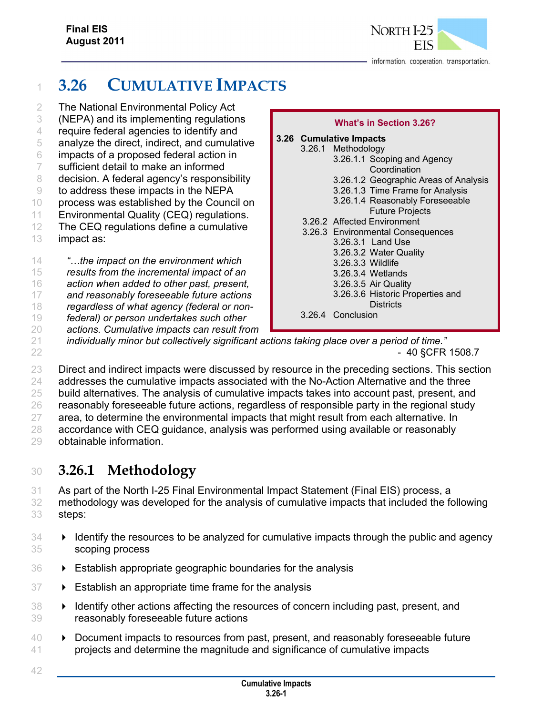

# <sup>1</sup> **3.26 CUMULATIVE IMPACTS**

 The National Environmental Policy Act (NEPA) and its implementing regulations require federal agencies to identify and analyze the direct, indirect, and cumulative impacts of a proposed federal action in sufficient detail to make an informed 8 decision. A federal agency's responsibility to address these impacts in the NEPA process was established by the Council on Environmental Quality (CEQ) regulations. The CEQ regulations define a cumulative impact as: *"…the impact on the environment which results from the incremental impact of an action when added to other past, present,* 

17 *and reasonably foreseeable future actions*  18 *regardless of what agency (federal or non-*

19 *federal) or person undertakes such other* 

20 *actions. Cumulative impacts can result from* 

#### **What's in Section 3.26? 3.26 Cumulative Impacts**  3.26.1 Methodology 3.26.1.1 Scoping and Agency **Coordination** 3.26.1.2 Geographic Areas of Analysis 3.26.1.3 Time Frame for Analysis 3.26.1.4 Reasonably Foreseeable Future Projects 3.26.2 Affected Environment 3.26.3 Environmental Consequences 3.26.3.1 Land Use 3.26.3.2 Water Quality 3.26.3.3 Wildlife 3.26.3.4 Wetlands 3.26.3.5 Air Quality

3.26.3.6 Historic Properties and **Districts** 

3.26.4 Conclusion

21 *individually minor but collectively significant actions taking place over a period of time."*   $22$  - 40 §CFR 1508.7

23 Direct and indirect impacts were discussed by resource in the preceding sections. This section addresses the cumulative impacts associated with the No-Action Alternative and the three build alternatives. The analysis of cumulative impacts takes into account past, present, and reasonably foreseeable future actions, regardless of responsible party in the regional study 27 area, to determine the environmental impacts that might result from each alternative. In accordance with CEQ guidance, analysis was performed using available or reasonably obtainable information.

# <sup>30</sup> **3.26.1 Methodology**

31 As part of the North I-25 Final Environmental Impact Statement (Final EIS) process, a

- 32 methodology was developed for the analysis of cumulative impacts that included the following 33 steps:
- $34 \rightarrow$  Identify the resources to be analyzed for cumulative impacts through the public and agency 35 scoping process
- 36 Establish appropriate geographic boundaries for the analysis
- 37 Establish an appropriate time frame for the analysis
- 38 **I** Identify other actions affecting the resources of concern including past, present, and 39 reasonably foreseeable future actions
- 40 **Document impacts to resources from past, present, and reasonably foreseeable future** 41 projects and determine the magnitude and significance of cumulative impacts
- 42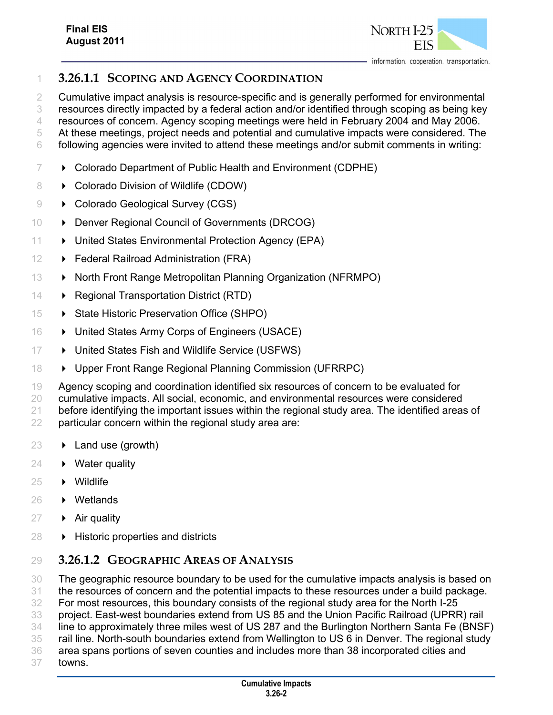

### **3.26.1.1 SCOPING AND AGENCY COORDINATION**

Cumulative impact analysis is resource-specific and is generally performed for environmental

resources directly impacted by a federal action and/or identified through scoping as being key

 resources of concern. Agency scoping meetings were held in February 2004 and May 2006. At these meetings, project needs and potential and cumulative impacts were considered. The

following agencies were invited to attend these meetings and/or submit comments in writing:

- Colorado Department of Public Health and Environment (CDPHE)
- 8  $\rightarrow$  Colorado Division of Wildlife (CDOW)
- **Colorado Geological Survey (CGS)**
- **Denver Regional Council of Governments (DRCOG)**
- **United States Environmental Protection Agency (EPA)**
- **Federal Railroad Administration (FRA)**
- 13 North Front Range Metropolitan Planning Organization (NFRMPO)
- **Regional Transportation District (RTD)**
- **State Historic Preservation Office (SHPO)**
- 16  $\rightarrow$  United States Army Corps of Engineers (USACE)
- **United States Fish and Wildlife Service (USFWS)**
- **Dual Pront Range Regional Planning Commission (UFRRPC)**
- 19 Agency scoping and coordination identified six resources of concern to be evaluated for cumulative impacts. All social, economic, and environmental resources were considered before identifying the important issues within the regional study area. The identified areas of particular concern within the regional study area are:
- $23 \rightarrow$  Land use (growth)
- **Water quality**
- **Wildlife**
- Wetlands
- $27 \rightarrow$  Air quality
- **Historic properties and districts**

### **3.26.1.2 GEOGRAPHIC AREAS OF ANALYSIS**

 The geographic resource boundary to be used for the cumulative impacts analysis is based on the resources of concern and the potential impacts to these resources under a build package.

For most resources, this boundary consists of the regional study area for the North I-25

project. East-west boundaries extend from US 85 and the Union Pacific Railroad (UPRR) rail

- line to approximately three miles west of US 287 and the Burlington Northern Santa Fe (BNSF)
- rail line. North-south boundaries extend from Wellington to US 6 in Denver. The regional study
- area spans portions of seven counties and includes more than 38 incorporated cities and
- towns.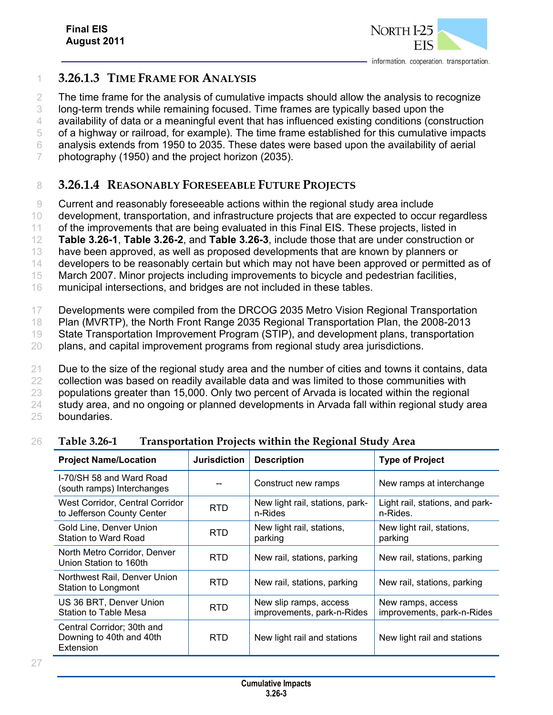

### 1 **3.26.1.3 TIME FRAME FOR ANALYSIS**

 The time frame for the analysis of cumulative impacts should allow the analysis to recognize long-term trends while remaining focused. Time frames are typically based upon the availability of data or a meaningful event that has influenced existing conditions (construction of a highway or railroad, for example). The time frame established for this cumulative impacts analysis extends from 1950 to 2035. These dates were based upon the availability of aerial photography (1950) and the project horizon (2035).

### 8 **3.26.1.4 REASONABLY FORESEEABLE FUTURE PROJECTS**

9 Current and reasonably foreseeable actions within the regional study area include

10 development, transportation, and infrastructure projects that are expected to occur regardless

11 of the improvements that are being evaluated in this Final EIS. These projects, listed in

12 **Table 3.26-1**, **Table 3.26-2**, and **Table 3.26-3**, include those that are under construction or

13 have been approved, as well as proposed developments that are known by planners or

14 developers to be reasonably certain but which may not have been approved or permitted as of

15 March 2007. Minor projects including improvements to bicycle and pedestrian facilities,

16 municipal intersections, and bridges are not included in these tables.

17 Developments were compiled from the DRCOG 2035 Metro Vision Regional Transportation

18 Plan (MVRTP), the North Front Range 2035 Regional Transportation Plan, the 2008-2013

19 State Transportation Improvement Program (STIP), and development plans, transportation

20 plans, and capital improvement programs from regional study area jurisdictions.

21 Due to the size of the regional study area and the number of cities and towns it contains, data

22 collection was based on readily available data and was limited to those communities with

23 populations greater than 15,000. Only two percent of Arvada is located within the regional

24 study area, and no ongoing or planned developments in Arvada fall within regional study area

25 boundaries.

#### 26 **Table 3.26-1 Transportation Projects within the Regional Study Area**

| <b>Project Name/Location</b>                                        | <b>Jurisdiction</b> | <b>Description</b>                                   | <b>Type of Project</b>                          |
|---------------------------------------------------------------------|---------------------|------------------------------------------------------|-------------------------------------------------|
| I-70/SH 58 and Ward Road<br>(south ramps) Interchanges              |                     | Construct new ramps                                  | New ramps at interchange                        |
| West Corridor, Central Corridor<br>to Jefferson County Center       | <b>RTD</b>          | New light rail, stations, park-<br>n-Rides           | Light rail, stations, and park-<br>n-Rides.     |
| Gold Line, Denver Union<br>Station to Ward Road                     | <b>RTD</b>          | New light rail, stations,<br>parking                 | New light rail, stations,<br>parking            |
| North Metro Corridor, Denver<br>Union Station to 160th              | RTD.                | New rail, stations, parking                          | New rail, stations, parking                     |
| Northwest Rail, Denver Union<br>Station to Longmont                 | RTD.                | New rail, stations, parking                          | New rail, stations, parking                     |
| US 36 BRT, Denver Union<br>Station to Table Mesa                    | RTD                 | New slip ramps, access<br>improvements, park-n-Rides | New ramps, access<br>improvements, park-n-Rides |
| Central Corridor; 30th and<br>Downing to 40th and 40th<br>Extension | RTD.                | New light rail and stations                          | New light rail and stations                     |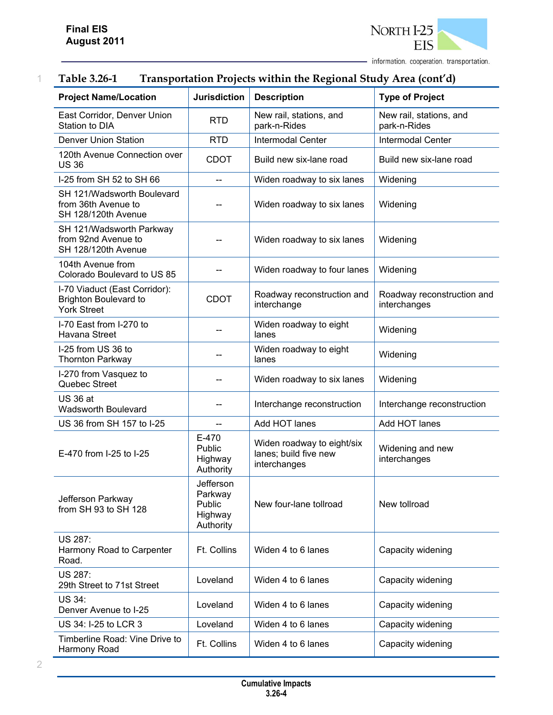

### 1 **Table 3.26-1 Transportation Projects within the Regional Study Area (cont'd)**

| <b>Project Name/Location</b>                                                        | <b>Jurisdiction</b>                                    | <b>Description</b>                                                  | <b>Type of Project</b>                     |
|-------------------------------------------------------------------------------------|--------------------------------------------------------|---------------------------------------------------------------------|--------------------------------------------|
| East Corridor, Denver Union<br>Station to DIA                                       | <b>RTD</b>                                             | New rail, stations, and<br>park-n-Rides                             | New rail, stations, and<br>park-n-Rides    |
| <b>Denver Union Station</b>                                                         | <b>RTD</b>                                             | <b>Intermodal Center</b>                                            | <b>Intermodal Center</b>                   |
| 120th Avenue Connection over<br><b>US36</b>                                         | <b>CDOT</b>                                            | Build new six-lane road                                             | Build new six-lane road                    |
| I-25 from SH 52 to SH 66                                                            |                                                        | Widen roadway to six lanes                                          | Widening                                   |
| SH 121/Wadsworth Boulevard<br>from 36th Avenue to<br>SH 128/120th Avenue            |                                                        | Widen roadway to six lanes                                          | Widening                                   |
| SH 121/Wadsworth Parkway<br>from 92nd Avenue to<br>SH 128/120th Avenue              |                                                        | Widen roadway to six lanes                                          | Widening                                   |
| 104th Avenue from<br>Colorado Boulevard to US 85                                    |                                                        | Widen roadway to four lanes                                         | Widening                                   |
| I-70 Viaduct (East Corridor):<br><b>Brighton Boulevard to</b><br><b>York Street</b> | <b>CDOT</b>                                            | Roadway reconstruction and<br>interchange                           | Roadway reconstruction and<br>interchanges |
| I-70 East from I-270 to<br>Havana Street                                            |                                                        | Widen roadway to eight<br>lanes                                     | Widening                                   |
| I-25 from US 36 to<br><b>Thornton Parkway</b>                                       |                                                        | Widen roadway to eight<br>lanes                                     | Widening                                   |
| I-270 from Vasquez to<br>Quebec Street                                              |                                                        | Widen roadway to six lanes                                          | Widening                                   |
| <b>US 36 at</b><br><b>Wadsworth Boulevard</b>                                       |                                                        | Interchange reconstruction                                          | Interchange reconstruction                 |
| US 36 from SH 157 to I-25                                                           |                                                        | Add HOT lanes                                                       | Add HOT lanes                              |
| E-470 from I-25 to I-25                                                             | E-470<br>Public<br>Highway<br>Authority                | Widen roadway to eight/six<br>lanes; build five new<br>interchanges | Widening and new<br>interchanges           |
| Jefferson Parkway<br>from SH 93 to SH 128                                           | Jefferson<br>Parkway<br>Public<br>Highway<br>Authority | New four-lane tollroad                                              | New tollroad                               |
| <b>US 287:</b><br>Harmony Road to Carpenter<br>Road.                                | Ft. Collins                                            | Widen 4 to 6 lanes                                                  | Capacity widening                          |
| <b>US 287:</b><br>29th Street to 71st Street                                        | Loveland                                               | Widen 4 to 6 lanes                                                  | Capacity widening                          |
| US 34:<br>Denver Avenue to I-25                                                     | Loveland                                               | Widen 4 to 6 lanes                                                  | Capacity widening                          |
| US 34: I-25 to LCR 3                                                                | Loveland                                               | Widen 4 to 6 lanes                                                  | Capacity widening                          |
| Timberline Road: Vine Drive to<br>Harmony Road                                      | Ft. Collins                                            | Widen 4 to 6 lanes                                                  | Capacity widening                          |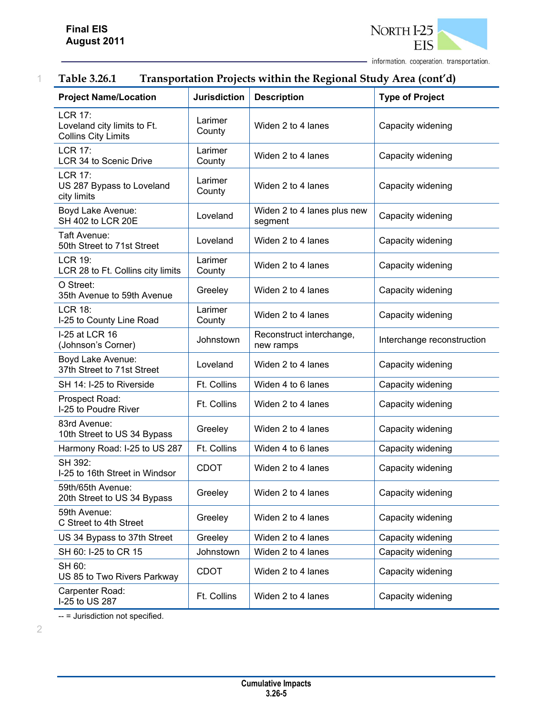

### 1 **Table 3.26.1 Transportation Projects within the Regional Study Area (cont'd)**

| <b>Project Name/Location</b>                                                | <b>Jurisdiction</b> | <b>Description</b>                     | <b>Type of Project</b>     |
|-----------------------------------------------------------------------------|---------------------|----------------------------------------|----------------------------|
| <b>LCR 17:</b><br>Loveland city limits to Ft.<br><b>Collins City Limits</b> | Larimer<br>County   | Widen 2 to 4 lanes                     | Capacity widening          |
| <b>LCR 17:</b><br>LCR 34 to Scenic Drive                                    | Larimer<br>County   | Widen 2 to 4 lanes                     | Capacity widening          |
| <b>LCR 17:</b><br>US 287 Bypass to Loveland<br>city limits                  | Larimer<br>County   | Widen 2 to 4 lanes                     | Capacity widening          |
| Boyd Lake Avenue:<br>SH 402 to LCR 20E                                      | Loveland            | Widen 2 to 4 lanes plus new<br>segment | Capacity widening          |
| Taft Avenue:<br>50th Street to 71st Street                                  | Loveland            | Widen 2 to 4 lanes                     | Capacity widening          |
| <b>LCR 19:</b><br>LCR 28 to Ft. Collins city limits                         | Larimer<br>County   | Widen 2 to 4 lanes                     | Capacity widening          |
| O Street:<br>35th Avenue to 59th Avenue                                     | Greeley             | Widen 2 to 4 lanes                     | Capacity widening          |
| <b>LCR 18:</b><br>I-25 to County Line Road                                  | Larimer<br>County   | Widen 2 to 4 lanes                     | Capacity widening          |
| I-25 at LCR 16<br>(Johnson's Corner)                                        | Johnstown           | Reconstruct interchange,<br>new ramps  | Interchange reconstruction |
| Boyd Lake Avenue:<br>37th Street to 71st Street                             | Loveland            | Widen 2 to 4 lanes                     | Capacity widening          |
| SH 14: I-25 to Riverside                                                    | Ft. Collins         | Widen 4 to 6 lanes                     | Capacity widening          |
| Prospect Road:<br>I-25 to Poudre River                                      | Ft. Collins         | Widen 2 to 4 lanes                     | Capacity widening          |
| 83rd Avenue:<br>10th Street to US 34 Bypass                                 | Greeley             | Widen 2 to 4 lanes                     | Capacity widening          |
| Harmony Road: I-25 to US 287                                                | Ft. Collins         | Widen 4 to 6 lanes                     | Capacity widening          |
| SH 392:<br>I-25 to 16th Street in Windsor                                   | <b>CDOT</b>         | Widen 2 to 4 lanes                     | Capacity widening          |
| 59th/65th Avenue:<br>20th Street to US 34 Bypass                            | Greeley             | Widen 2 to 4 lanes                     | Capacity widening          |
| 59th Avenue:<br>C Street to 4th Street                                      | Greeley             | Widen 2 to 4 lanes                     | Capacity widening          |
| US 34 Bypass to 37th Street                                                 | Greeley             | Widen 2 to 4 lanes                     | Capacity widening          |
| SH 60: I-25 to CR 15                                                        | Johnstown           | Widen 2 to 4 lanes                     | Capacity widening          |
| SH 60:<br>US 85 to Two Rivers Parkway                                       | <b>CDOT</b>         | Widen 2 to 4 lanes                     | Capacity widening          |
| Carpenter Road:<br>I-25 to US 287                                           | Ft. Collins         | Widen 2 to 4 lanes                     | Capacity widening          |

-- = Jurisdiction not specified.

2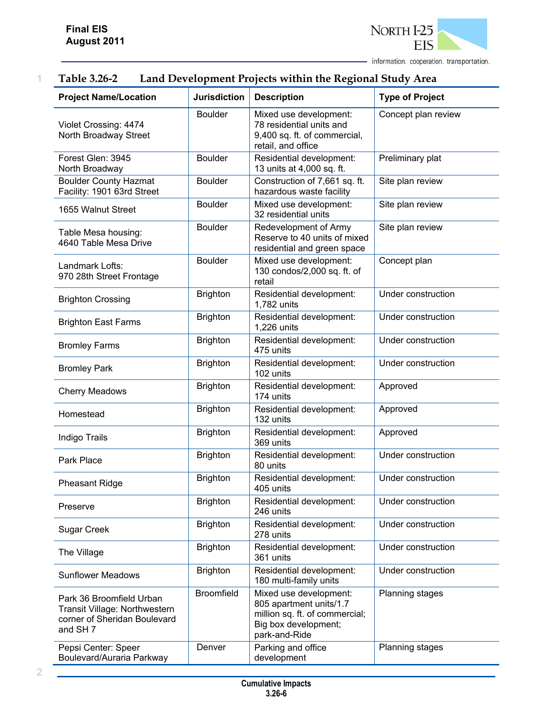

| <b>Project Name/Location</b>                                                                                     | <b>Jurisdiction</b> | <b>Description</b>                                                                                                           | <b>Type of Project</b> |
|------------------------------------------------------------------------------------------------------------------|---------------------|------------------------------------------------------------------------------------------------------------------------------|------------------------|
| Violet Crossing: 4474<br>North Broadway Street                                                                   | <b>Boulder</b>      | Mixed use development:<br>78 residential units and<br>9,400 sq. ft. of commercial,<br>retail, and office                     | Concept plan review    |
| Forest Glen: 3945<br>North Broadway                                                                              | <b>Boulder</b>      | Residential development:<br>13 units at 4,000 sq. ft.                                                                        | Preliminary plat       |
| <b>Boulder County Hazmat</b><br>Facility: 1901 63rd Street                                                       | <b>Boulder</b>      | Construction of 7,661 sq. ft.<br>hazardous waste facility                                                                    | Site plan review       |
| 1655 Walnut Street                                                                                               | <b>Boulder</b>      | Mixed use development:<br>32 residential units                                                                               | Site plan review       |
| Table Mesa housing:<br>4640 Table Mesa Drive                                                                     | <b>Boulder</b>      | Redevelopment of Army<br>Reserve to 40 units of mixed<br>residential and green space                                         | Site plan review       |
| Landmark Lofts:<br>970 28th Street Frontage                                                                      | <b>Boulder</b>      | Mixed use development:<br>130 condos/2,000 sq. ft. of<br>retail                                                              | Concept plan           |
| <b>Brighton Crossing</b>                                                                                         | <b>Brighton</b>     | Residential development:<br>1,782 units                                                                                      | Under construction     |
| <b>Brighton East Farms</b>                                                                                       | <b>Brighton</b>     | Residential development:<br>1,226 units                                                                                      | Under construction     |
| <b>Bromley Farms</b>                                                                                             | <b>Brighton</b>     | Residential development:<br>475 units                                                                                        | Under construction     |
| <b>Bromley Park</b>                                                                                              | <b>Brighton</b>     | Residential development:<br>102 units                                                                                        | Under construction     |
| <b>Cherry Meadows</b>                                                                                            | <b>Brighton</b>     | Residential development:<br>174 units                                                                                        | Approved               |
| Homestead                                                                                                        | <b>Brighton</b>     | Residential development:<br>132 units                                                                                        | Approved               |
| Indigo Trails                                                                                                    | <b>Brighton</b>     | Residential development:<br>369 units                                                                                        | Approved               |
| Park Place                                                                                                       | <b>Brighton</b>     | Residential development:<br>80 units                                                                                         | Under construction     |
| <b>Pheasant Ridge</b>                                                                                            | <b>Brighton</b>     | Residential development:<br>405 units                                                                                        | Under construction     |
| Preserve                                                                                                         | <b>Brighton</b>     | Residential development:<br>246 units                                                                                        | Under construction     |
| Sugar Creek                                                                                                      | <b>Brighton</b>     | Residential development:<br>278 units                                                                                        | Under construction     |
| The Village                                                                                                      | <b>Brighton</b>     | Residential development:<br>361 units                                                                                        | Under construction     |
| <b>Sunflower Meadows</b>                                                                                         | <b>Brighton</b>     | Residential development:<br>180 multi-family units                                                                           | Under construction     |
| Park 36 Broomfield Urban<br>Transit Village: Northwestern<br>corner of Sheridan Boulevard<br>and SH <sub>7</sub> | <b>Broomfield</b>   | Mixed use development:<br>805 apartment units/1.7<br>million sq. ft. of commercial;<br>Big box development;<br>park-and-Ride | Planning stages        |
| Pepsi Center: Speer<br>Boulevard/Auraria Parkway                                                                 | Denver              | Parking and office<br>development                                                                                            | Planning stages        |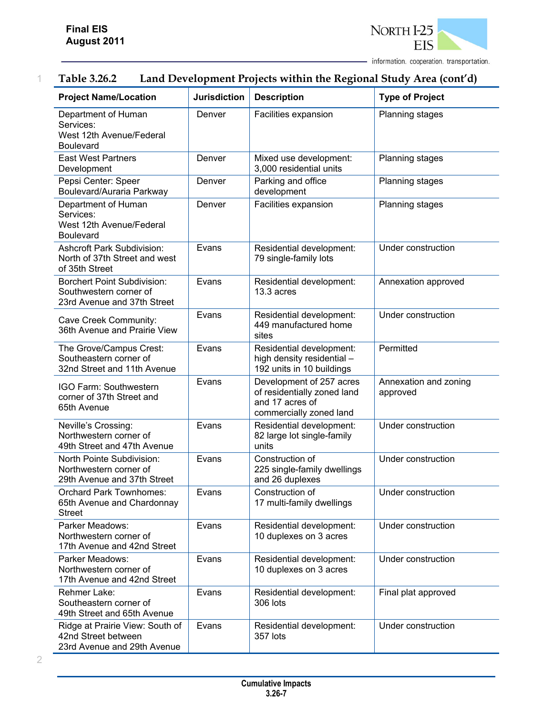

| <b>Project Name/Location</b>                                                                | <b>Jurisdiction</b> | <b>Description</b>                                                                                    | <b>Type of Project</b>            |
|---------------------------------------------------------------------------------------------|---------------------|-------------------------------------------------------------------------------------------------------|-----------------------------------|
| Department of Human<br>Services:<br>West 12th Avenue/Federal<br><b>Boulevard</b>            | Denver              | Facilities expansion                                                                                  | Planning stages                   |
| <b>East West Partners</b><br>Development                                                    | Denver              | Mixed use development:<br>3,000 residential units                                                     | Planning stages                   |
| Pepsi Center: Speer<br>Boulevard/Auraria Parkway                                            | Denver              | Parking and office<br>development                                                                     | Planning stages                   |
| Department of Human<br>Services:<br>West 12th Avenue/Federal<br><b>Boulevard</b>            | Denver              | Facilities expansion                                                                                  | Planning stages                   |
| <b>Ashcroft Park Subdivision:</b><br>North of 37th Street and west<br>of 35th Street        | Evans               | Residential development:<br>79 single-family lots                                                     | Under construction                |
| <b>Borchert Point Subdivision:</b><br>Southwestern corner of<br>23rd Avenue and 37th Street | Evans               | Residential development:<br>13.3 acres                                                                | Annexation approved               |
| Cave Creek Community:<br>36th Avenue and Prairie View                                       | Evans               | Residential development:<br>449 manufactured home<br>sites                                            | Under construction                |
| The Grove/Campus Crest:<br>Southeastern corner of<br>32nd Street and 11th Avenue            | Evans               | Residential development:<br>high density residential -<br>192 units in 10 buildings                   | Permitted                         |
| IGO Farm: Southwestern<br>corner of 37th Street and<br>65th Avenue                          | Evans               | Development of 257 acres<br>of residentially zoned land<br>and 17 acres of<br>commercially zoned land | Annexation and zoning<br>approved |
| Neville's Crossing:<br>Northwestern corner of<br>49th Street and 47th Avenue                | Evans               | Residential development:<br>82 large lot single-family<br>units                                       | Under construction                |
| North Pointe Subdivision:<br>Northwestern corner of<br>29th Avenue and 37th Street          | Evans               | Construction of<br>225 single-family dwellings<br>and 26 duplexes                                     | Under construction                |
| <b>Orchard Park Townhomes:</b><br>65th Avenue and Chardonnay<br><b>Street</b>               | Evans               | Construction of<br>17 multi-family dwellings                                                          | Under construction                |
| Parker Meadows:<br>Northwestern corner of<br>17th Avenue and 42nd Street                    | Evans               | Residential development:<br>10 duplexes on 3 acres                                                    | Under construction                |
| Parker Meadows:<br>Northwestern corner of<br>17th Avenue and 42nd Street                    | Evans               | Residential development:<br>10 duplexes on 3 acres                                                    | Under construction                |
| Rehmer Lake:<br>Southeastern corner of<br>49th Street and 65th Avenue                       | Evans               | Residential development:<br>306 lots                                                                  | Final plat approved               |
| Ridge at Prairie View: South of<br>42nd Street between<br>23rd Avenue and 29th Avenue       | Evans               | Residential development:<br>357 lots                                                                  | Under construction                |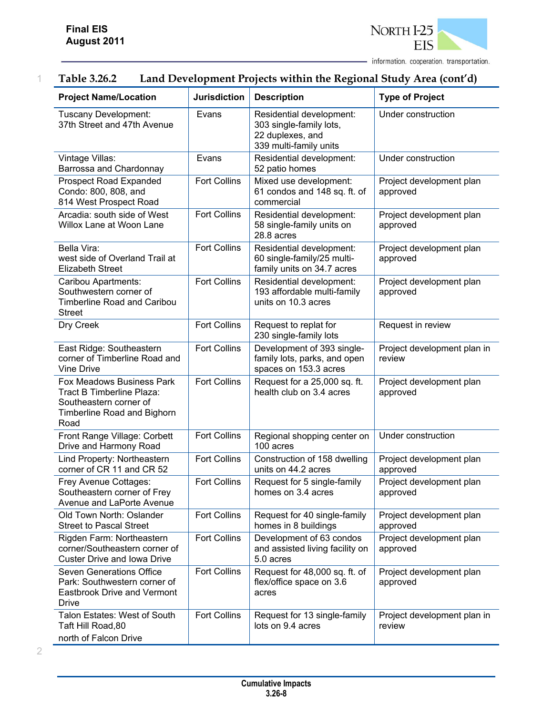

### 1 **Table 3.26.2 Land Development Projects within the Regional Study Area (cont'd)**

| <b>Project Name/Location</b>                                                                                            | <b>Jurisdiction</b> | <b>Description</b>                                                                                | <b>Type of Project</b>                |
|-------------------------------------------------------------------------------------------------------------------------|---------------------|---------------------------------------------------------------------------------------------------|---------------------------------------|
| Tuscany Development:<br>37th Street and 47th Avenue                                                                     | Evans               | Residential development:<br>303 single-family lots,<br>22 duplexes, and<br>339 multi-family units | Under construction                    |
| Vintage Villas:<br>Barrossa and Chardonnay                                                                              | Evans               | Residential development:<br>52 patio homes                                                        | Under construction                    |
| <b>Prospect Road Expanded</b><br>Condo: 800, 808, and<br>814 West Prospect Road                                         | <b>Fort Collins</b> | Mixed use development:<br>61 condos and 148 sq. ft. of<br>commercial                              | Project development plan<br>approved  |
| Arcadia: south side of West<br>Willox Lane at Woon Lane                                                                 | <b>Fort Collins</b> | Residential development:<br>58 single-family units on<br>28.8 acres                               | Project development plan<br>approved  |
| Bella Vira:<br>west side of Overland Trail at<br><b>Elizabeth Street</b>                                                | <b>Fort Collins</b> | Residential development:<br>60 single-family/25 multi-<br>family units on 34.7 acres              | Project development plan<br>approved  |
| Caribou Apartments:<br>Southwestern corner of<br><b>Timberline Road and Caribou</b><br><b>Street</b>                    | <b>Fort Collins</b> | Residential development:<br>193 affordable multi-family<br>units on 10.3 acres                    | Project development plan<br>approved  |
| Dry Creek                                                                                                               | <b>Fort Collins</b> | Request to replat for<br>230 single-family lots                                                   | Request in review                     |
| East Ridge: Southeastern<br>corner of Timberline Road and<br><b>Vine Drive</b>                                          | <b>Fort Collins</b> | Development of 393 single-<br>family lots, parks, and open<br>spaces on 153.3 acres               | Project development plan in<br>review |
| Fox Meadows Business Park<br>Tract B Timberline Plaza:<br>Southeastern corner of<br>Timberline Road and Bighorn<br>Road | <b>Fort Collins</b> | Request for a 25,000 sq. ft.<br>health club on 3.4 acres                                          | Project development plan<br>approved  |
| Front Range Village: Corbett<br>Drive and Harmony Road                                                                  | <b>Fort Collins</b> | Regional shopping center on<br>100 acres                                                          | Under construction                    |
| Lind Property: Northeastern<br>corner of CR 11 and CR 52                                                                | <b>Fort Collins</b> | Construction of 158 dwelling<br>units on 44.2 acres                                               | Project development plan<br>approved  |
| Frey Avenue Cottages:<br>Southeastern corner of Frey<br>Avenue and LaPorte Avenue                                       | <b>Fort Collins</b> | Request for 5 single-family<br>homes on 3.4 acres                                                 | Project development plan<br>approved  |
| Old Town North: Oslander<br><b>Street to Pascal Street</b>                                                              | <b>Fort Collins</b> | Request for 40 single-family<br>homes in 8 buildings                                              | Project development plan<br>approved  |
| Rigden Farm: Northeastern<br>corner/Southeastern corner of<br><b>Custer Drive and Iowa Drive</b>                        | <b>Fort Collins</b> | Development of 63 condos<br>and assisted living facility on<br>5.0 acres                          | Project development plan<br>approved  |
| <b>Seven Generations Office</b><br>Park: Southwestern corner of<br><b>Eastbrook Drive and Vermont</b><br><b>Drive</b>   | <b>Fort Collins</b> | Request for 48,000 sq. ft. of<br>flex/office space on 3.6<br>acres                                | Project development plan<br>approved  |
| Talon Estates: West of South<br>Taft Hill Road, 80<br>north of Falcon Drive                                             | <b>Fort Collins</b> | Request for 13 single-family<br>lots on 9.4 acres                                                 | Project development plan in<br>review |

2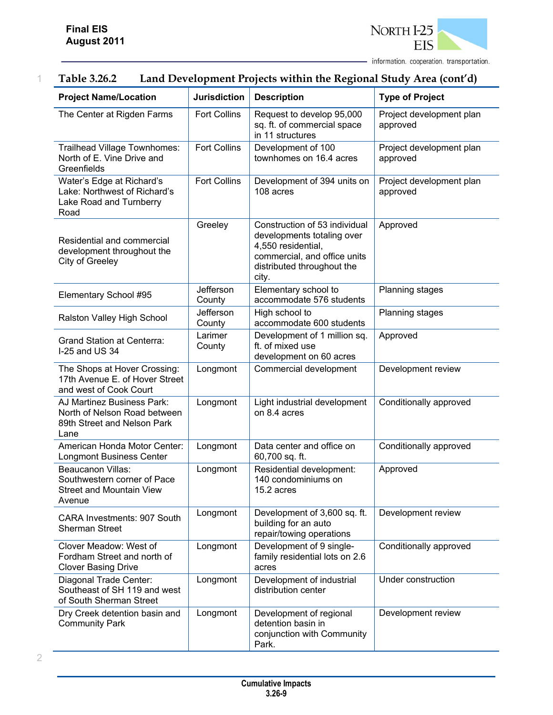

| <b>Project Name/Location</b>                                                                         | <b>Jurisdiction</b> | <b>Description</b>                                                                                                                                       | <b>Type of Project</b>               |
|------------------------------------------------------------------------------------------------------|---------------------|----------------------------------------------------------------------------------------------------------------------------------------------------------|--------------------------------------|
| The Center at Rigden Farms                                                                           | <b>Fort Collins</b> | Request to develop 95,000<br>sq. ft. of commercial space<br>in 11 structures                                                                             | Project development plan<br>approved |
| Trailhead Village Townhomes:<br>North of E. Vine Drive and<br>Greenfields                            | <b>Fort Collins</b> | Development of 100<br>townhomes on 16.4 acres                                                                                                            | Project development plan<br>approved |
| Water's Edge at Richard's<br>Lake: Northwest of Richard's<br>Lake Road and Turnberry<br>Road         | <b>Fort Collins</b> | Development of 394 units on<br>108 acres                                                                                                                 | Project development plan<br>approved |
| Residential and commercial<br>development throughout the<br>City of Greeley                          | Greeley             | Construction of 53 individual<br>developments totaling over<br>4,550 residential,<br>commercial, and office units<br>distributed throughout the<br>city. | Approved                             |
| Elementary School #95                                                                                | Jefferson<br>County | Elementary school to<br>accommodate 576 students                                                                                                         | Planning stages                      |
| Ralston Valley High School                                                                           | Jefferson<br>County | High school to<br>accommodate 600 students                                                                                                               | Planning stages                      |
| <b>Grand Station at Centerra:</b><br>I-25 and US 34                                                  | Larimer<br>County   | Development of 1 million sq.<br>ft. of mixed use<br>development on 60 acres                                                                              | Approved                             |
| The Shops at Hover Crossing:<br>17th Avenue E. of Hover Street<br>and west of Cook Court             | Longmont            | Commercial development                                                                                                                                   | Development review                   |
| AJ Martinez Business Park:<br>North of Nelson Road between<br>89th Street and Nelson Park<br>Lane    | Longmont            | Light industrial development<br>on 8.4 acres                                                                                                             | Conditionally approved               |
| American Honda Motor Center:<br><b>Longmont Business Center</b>                                      | Longmont            | Data center and office on<br>60,700 sq. ft.                                                                                                              | Conditionally approved               |
| <b>Beaucanon Villas:</b><br>Southwestern corner of Pace<br><b>Street and Mountain View</b><br>Avenue | Longmont            | Residential development:<br>140 condominiums on<br>15.2 acres                                                                                            | Approved                             |
| CARA Investments: 907 South<br><b>Sherman Street</b>                                                 | Longmont            | Development of 3,600 sq. ft.<br>building for an auto<br>repair/towing operations                                                                         | Development review                   |
| Clover Meadow: West of<br>Fordham Street and north of<br><b>Clover Basing Drive</b>                  | Longmont            | Development of 9 single-<br>family residential lots on 2.6<br>acres                                                                                      | Conditionally approved               |
| Diagonal Trade Center:<br>Southeast of SH 119 and west<br>of South Sherman Street                    | Longmont            | Development of industrial<br>distribution center                                                                                                         | Under construction                   |
| Dry Creek detention basin and<br><b>Community Park</b>                                               | Longmont            | Development of regional<br>detention basin in<br>conjunction with Community<br>Park.                                                                     | Development review                   |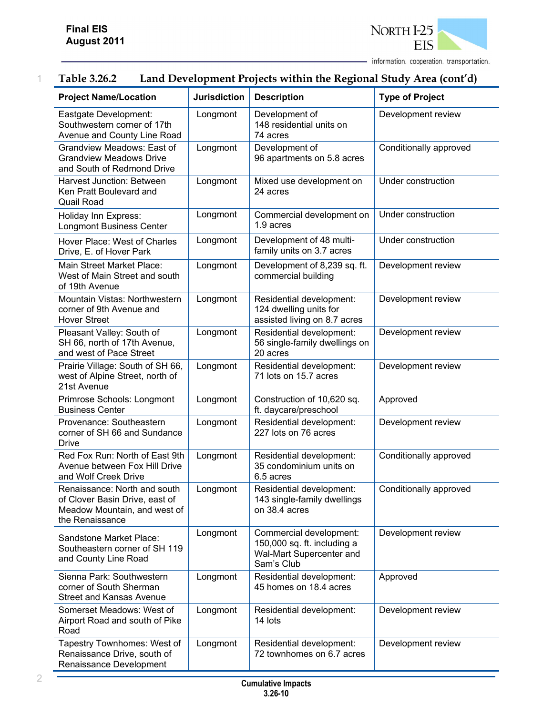

| <b>Project Name/Location</b>                                                                                      | <b>Jurisdiction</b> | <b>Description</b>                                                                               | <b>Type of Project</b> |
|-------------------------------------------------------------------------------------------------------------------|---------------------|--------------------------------------------------------------------------------------------------|------------------------|
| Eastgate Development:<br>Southwestern corner of 17th<br>Avenue and County Line Road                               | Longmont            | Development of<br>148 residential units on<br>74 acres                                           | Development review     |
| Grandview Meadows: East of<br><b>Grandview Meadows Drive</b><br>and South of Redmond Drive                        | Longmont            | Development of<br>96 apartments on 5.8 acres                                                     | Conditionally approved |
| Harvest Junction: Between<br>Ken Pratt Boulevard and<br><b>Quail Road</b>                                         | Longmont            | Mixed use development on<br>24 acres                                                             | Under construction     |
| Holiday Inn Express:<br><b>Longmont Business Center</b>                                                           | Longmont            | Commercial development on<br>1.9 acres                                                           | Under construction     |
| Hover Place: West of Charles<br>Drive, E. of Hover Park                                                           | Longmont            | Development of 48 multi-<br>family units on 3.7 acres                                            | Under construction     |
| Main Street Market Place:<br>West of Main Street and south<br>of 19th Avenue                                      | Longmont            | Development of 8,239 sq. ft.<br>commercial building                                              | Development review     |
| Mountain Vistas: Northwestern<br>corner of 9th Avenue and<br><b>Hover Street</b>                                  | Longmont            | Residential development:<br>124 dwelling units for<br>assisted living on 8.7 acres               | Development review     |
| Pleasant Valley: South of<br>SH 66, north of 17th Avenue,<br>and west of Pace Street                              | Longmont            | Residential development:<br>56 single-family dwellings on<br>20 acres                            | Development review     |
| Prairie Village: South of SH 66,<br>west of Alpine Street, north of<br>21st Avenue                                | Longmont            | Residential development:<br>71 lots on 15.7 acres                                                | Development review     |
| Primrose Schools: Longmont<br><b>Business Center</b>                                                              | Longmont            | Construction of 10,620 sq.<br>ft. daycare/preschool                                              | Approved               |
| Provenance: Southeastern<br>corner of SH 66 and Sundance<br><b>Drive</b>                                          | Longmont            | Residential development:<br>227 lots on 76 acres                                                 | Development review     |
| Red Fox Run: North of East 9th<br>Avenue between Fox Hill Drive<br>and Wolf Creek Drive                           | Longmont            | Residential development:<br>35 condominium units on<br>6.5 acres                                 | Conditionally approved |
| Renaissance: North and south<br>of Clover Basin Drive, east of<br>Meadow Mountain, and west of<br>the Renaissance | Longmont            | Residential development:<br>143 single-family dwellings<br>on 38.4 acres                         | Conditionally approved |
| Sandstone Market Place:<br>Southeastern corner of SH 119<br>and County Line Road                                  | Longmont            | Commercial development:<br>150,000 sq. ft. including a<br>Wal-Mart Supercenter and<br>Sam's Club | Development review     |
| Sienna Park: Southwestern<br>corner of South Sherman<br><b>Street and Kansas Avenue</b>                           | Longmont            | Residential development:<br>45 homes on 18.4 acres                                               | Approved               |
| Somerset Meadows: West of<br>Airport Road and south of Pike<br>Road                                               | Longmont            | Residential development:<br>14 lots                                                              | Development review     |
| Tapestry Townhomes: West of<br>Renaissance Drive, south of<br>Renaissance Development                             | Longmont            | Residential development:<br>72 townhomes on 6.7 acres                                            | Development review     |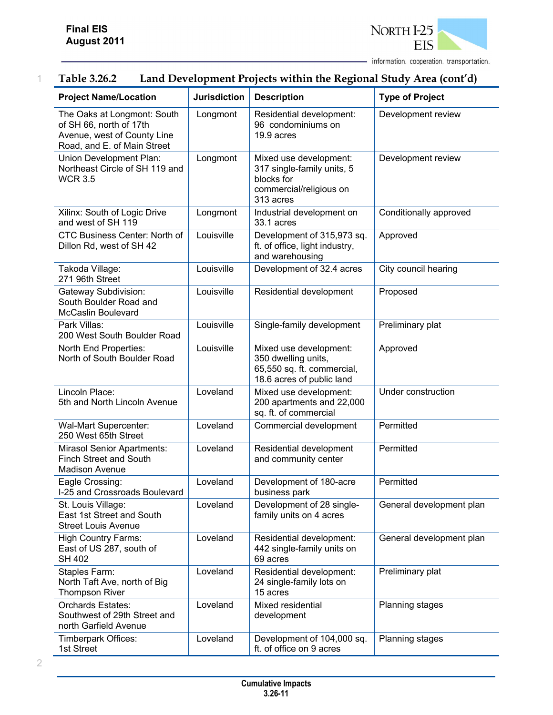

### 1 **Table 3.26.2 Land Development Projects within the Regional Study Area (cont'd)**

| <b>Project Name/Location</b>                                                                                         | <b>Jurisdiction</b> | <b>Description</b>                                                                                         | <b>Type of Project</b>   |
|----------------------------------------------------------------------------------------------------------------------|---------------------|------------------------------------------------------------------------------------------------------------|--------------------------|
| The Oaks at Longmont: South<br>of SH 66, north of 17th<br>Avenue, west of County Line<br>Road, and E. of Main Street | Longmont            | Residential development:<br>96 condominiums on<br>19.9 acres                                               | Development review       |
| Union Development Plan:<br>Northeast Circle of SH 119 and<br><b>WCR 3.5</b>                                          | Longmont            | Mixed use development:<br>317 single-family units, 5<br>blocks for<br>commercial/religious on<br>313 acres | Development review       |
| Xilinx: South of Logic Drive<br>and west of SH 119                                                                   | Longmont            | Industrial development on<br>33.1 acres                                                                    | Conditionally approved   |
| CTC Business Center: North of<br>Dillon Rd, west of SH 42                                                            | Louisville          | Development of 315,973 sq.<br>ft. of office, light industry,<br>and warehousing                            | Approved                 |
| Takoda Village:<br>271 96th Street                                                                                   | Louisville          | Development of 32.4 acres                                                                                  | City council hearing     |
| Gateway Subdivision:<br>South Boulder Road and<br><b>McCaslin Boulevard</b>                                          | Louisville          | Residential development                                                                                    | Proposed                 |
| Park Villas:<br>200 West South Boulder Road                                                                          | Louisville          | Single-family development                                                                                  | Preliminary plat         |
| North End Properties:<br>North of South Boulder Road                                                                 | Louisville          | Mixed use development:<br>350 dwelling units,<br>65,550 sq. ft. commercial,<br>18.6 acres of public land   | Approved                 |
| Lincoln Place:<br>5th and North Lincoln Avenue                                                                       | Loveland            | Mixed use development:<br>200 apartments and 22,000<br>sq. ft. of commercial                               | Under construction       |
| Wal-Mart Supercenter:<br>250 West 65th Street                                                                        | Loveland            | Commercial development                                                                                     | Permitted                |
| <b>Mirasol Senior Apartments:</b><br><b>Finch Street and South</b><br><b>Madison Avenue</b>                          | Loveland            | Residential development<br>and community center                                                            | Permitted                |
| Eagle Crossing:<br>I-25 and Crossroads Boulevard                                                                     | Loveland            | Development of 180-acre<br>business park                                                                   | Permitted                |
| St. Louis Village:<br>East 1st Street and South<br><b>Street Louis Avenue</b>                                        | Loveland            | Development of 28 single-<br>family units on 4 acres                                                       | General development plan |
| <b>High Country Farms:</b><br>East of US 287, south of<br><b>SH 402</b>                                              | Loveland            | Residential development:<br>442 single-family units on<br>69 acres                                         | General development plan |
| Staples Farm:<br>North Taft Ave, north of Big<br><b>Thompson River</b>                                               | Loveland            | Residential development:<br>24 single-family lots on<br>15 acres                                           | Preliminary plat         |
| Orchards Estates:<br>Southwest of 29th Street and<br>north Garfield Avenue                                           | Loveland            | Mixed residential<br>development                                                                           | Planning stages          |
| Timberpark Offices:<br>1st Street                                                                                    | Loveland            | Development of 104,000 sq.<br>ft. of office on 9 acres                                                     | Planning stages          |

2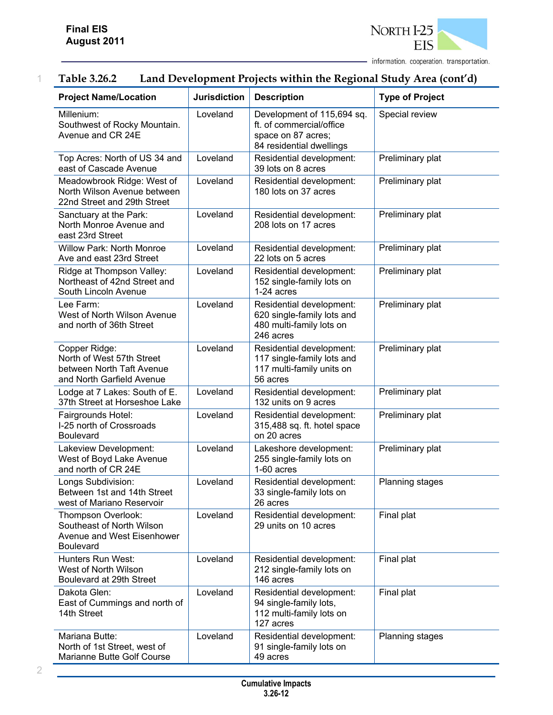

| <b>Project Name/Location</b>                                                                         | <b>Jurisdiction</b> | <b>Description</b>                                                                                       | <b>Type of Project</b> |
|------------------------------------------------------------------------------------------------------|---------------------|----------------------------------------------------------------------------------------------------------|------------------------|
| Millenium:<br>Southwest of Rocky Mountain.<br>Avenue and CR 24E                                      | Loveland            | Development of 115,694 sq.<br>ft. of commercial/office<br>space on 87 acres;<br>84 residential dwellings | Special review         |
| Top Acres: North of US 34 and<br>east of Cascade Avenue                                              | Loveland            | Residential development:<br>39 lots on 8 acres                                                           | Preliminary plat       |
| Meadowbrook Ridge: West of<br>North Wilson Avenue between<br>22nd Street and 29th Street             | Loveland            | Residential development:<br>180 lots on 37 acres                                                         | Preliminary plat       |
| Sanctuary at the Park:<br>North Monroe Avenue and<br>east 23rd Street                                | Loveland            | Residential development:<br>208 lots on 17 acres                                                         | Preliminary plat       |
| <b>Willow Park: North Monroe</b><br>Ave and east 23rd Street                                         | Loveland            | Residential development:<br>22 lots on 5 acres                                                           | Preliminary plat       |
| Ridge at Thompson Valley:<br>Northeast of 42nd Street and<br>South Lincoln Avenue                    | Loveland            | Residential development:<br>152 single-family lots on<br>1-24 acres                                      | Preliminary plat       |
| Lee Farm:<br>West of North Wilson Avenue<br>and north of 36th Street                                 | Loveland            | Residential development:<br>620 single-family lots and<br>480 multi-family lots on<br>246 acres          | Preliminary plat       |
| Copper Ridge:<br>North of West 57th Street<br>between North Taft Avenue<br>and North Garfield Avenue | Loveland            | Residential development:<br>117 single-family lots and<br>117 multi-family units on<br>56 acres          | Preliminary plat       |
| Lodge at 7 Lakes: South of E.<br>37th Street at Horseshoe Lake                                       | Loveland            | Residential development:<br>132 units on 9 acres                                                         | Preliminary plat       |
| Fairgrounds Hotel:<br>I-25 north of Crossroads<br><b>Boulevard</b>                                   | Loveland            | Residential development:<br>315,488 sq. ft. hotel space<br>on 20 acres                                   | Preliminary plat       |
| Lakeview Development:<br>West of Boyd Lake Avenue<br>and north of CR 24E                             | Loveland            | Lakeshore development:<br>255 single-family lots on<br>1-60 acres                                        | Preliminary plat       |
| Longs Subdivision:<br>Between 1st and 14th Street<br>west of Mariano Reservoir                       | Loveland            | Residential development:<br>33 single-family lots on<br>26 acres                                         | Planning stages        |
| Thompson Overlook:<br>Southeast of North Wilson<br>Avenue and West Eisenhower<br><b>Boulevard</b>    | Loveland            | Residential development:<br>29 units on 10 acres                                                         | Final plat             |
| Hunters Run West:<br>West of North Wilson<br>Boulevard at 29th Street                                | Loveland            | Residential development:<br>212 single-family lots on<br>146 acres                                       | Final plat             |
| Dakota Glen:<br>East of Cummings and north of<br>14th Street                                         | Loveland            | Residential development:<br>94 single-family lots,<br>112 multi-family lots on<br>127 acres              | Final plat             |
| Mariana Butte:<br>North of 1st Street, west of<br>Marianne Butte Golf Course                         | Loveland            | Residential development:<br>91 single-family lots on<br>49 acres                                         | Planning stages        |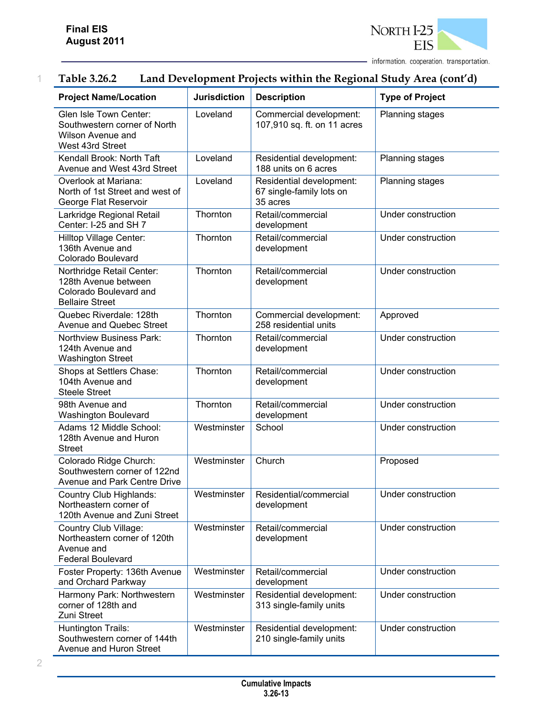

| <b>Project Name/Location</b>                                                                          | <b>Jurisdiction</b> | <b>Description</b>                                               | <b>Type of Project</b> |
|-------------------------------------------------------------------------------------------------------|---------------------|------------------------------------------------------------------|------------------------|
| Glen Isle Town Center:<br>Southwestern corner of North<br>Wilson Avenue and<br>West 43rd Street       | Loveland            | Commercial development:<br>107,910 sq. ft. on 11 acres           | <b>Planning stages</b> |
| Kendall Brook: North Taft<br>Avenue and West 43rd Street                                              | Loveland            | Residential development:<br>188 units on 6 acres                 | Planning stages        |
| Overlook at Mariana:<br>North of 1st Street and west of<br>George Flat Reservoir                      | Loveland            | Residential development:<br>67 single-family lots on<br>35 acres | Planning stages        |
| Larkridge Regional Retail<br>Center: I-25 and SH 7                                                    | Thornton            | Retail/commercial<br>development                                 | Under construction     |
| Hilltop Village Center:<br>136th Avenue and<br>Colorado Boulevard                                     | Thornton            | Retail/commercial<br>development                                 | Under construction     |
| Northridge Retail Center:<br>128th Avenue between<br>Colorado Boulevard and<br><b>Bellaire Street</b> | Thornton            | Retail/commercial<br>development                                 | Under construction     |
| Quebec Riverdale: 128th<br>Avenue and Quebec Street                                                   | Thornton            | Commercial development:<br>258 residential units                 | Approved               |
| <b>Northview Business Park:</b><br>124th Avenue and<br><b>Washington Street</b>                       | Thornton            | Retail/commercial<br>development                                 | Under construction     |
| Shops at Settlers Chase:<br>104th Avenue and<br><b>Steele Street</b>                                  | Thornton            | Retail/commercial<br>development                                 | Under construction     |
| 98th Avenue and<br><b>Washington Boulevard</b>                                                        | Thornton            | Retail/commercial<br>development                                 | Under construction     |
| Adams 12 Middle School:<br>128th Avenue and Huron<br><b>Street</b>                                    | Westminster         | School                                                           | Under construction     |
| Colorado Ridge Church:<br>Southwestern corner of 122nd<br><b>Avenue and Park Centre Drive</b>         | Westminster         | Church                                                           | Proposed               |
| Country Club Highlands:<br>Northeastern corner of<br>120th Avenue and Zuni Street                     | Westminster         | Residential/commercial<br>development                            | Under construction     |
| Country Club Village:<br>Northeastern corner of 120th<br>Avenue and<br><b>Federal Boulevard</b>       | Westminster         | Retail/commercial<br>development                                 | Under construction     |
| Foster Property: 136th Avenue<br>and Orchard Parkway                                                  | Westminster         | Retail/commercial<br>development                                 | Under construction     |
| Harmony Park: Northwestern<br>corner of 128th and<br>Zuni Street                                      | Westminster         | Residential development:<br>313 single-family units              | Under construction     |
| Huntington Trails:<br>Southwestern corner of 144th<br>Avenue and Huron Street                         | Westminster         | Residential development:<br>210 single-family units              | Under construction     |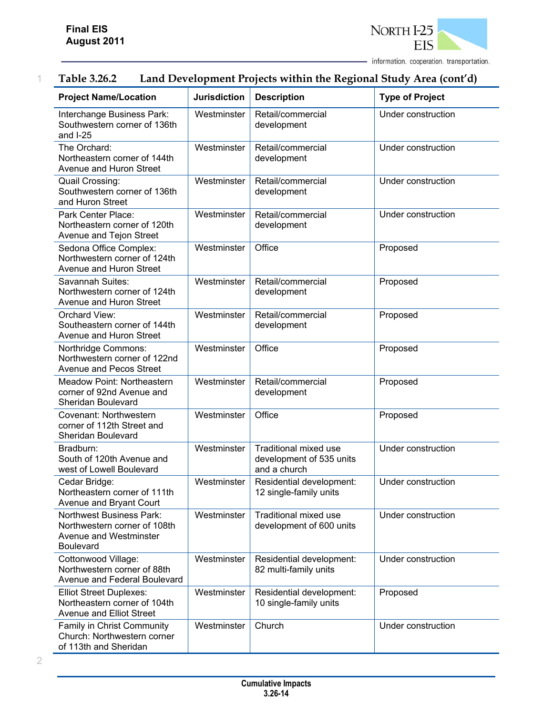

| <b>Project Name/Location</b>                                                                                  | <b>Jurisdiction</b> | <b>Description</b>                                                       | <b>Type of Project</b> |
|---------------------------------------------------------------------------------------------------------------|---------------------|--------------------------------------------------------------------------|------------------------|
| Interchange Business Park:<br>Southwestern corner of 136th<br>and $I-25$                                      | Westminster         | Retail/commercial<br>development                                         | Under construction     |
| The Orchard:<br>Northeastern corner of 144th<br>Avenue and Huron Street                                       | Westminster         | Retail/commercial<br>development                                         | Under construction     |
| Quail Crossing:<br>Southwestern corner of 136th<br>and Huron Street                                           | Westminster         | Retail/commercial<br>development                                         | Under construction     |
| Park Center Place:<br>Northeastern corner of 120th<br>Avenue and Tejon Street                                 | Westminster         | Retail/commercial<br>development                                         | Under construction     |
| Sedona Office Complex:<br>Northwestern corner of 124th<br>Avenue and Huron Street                             | Westminster         | Office                                                                   | Proposed               |
| Savannah Suites:<br>Northwestern corner of 124th<br>Avenue and Huron Street                                   | Westminster         | Retail/commercial<br>development                                         | Proposed               |
| Orchard View:<br>Southeastern corner of 144th<br>Avenue and Huron Street                                      | Westminster         | Retail/commercial<br>development                                         | Proposed               |
| Northridge Commons:<br>Northwestern corner of 122nd<br>Avenue and Pecos Street                                | Westminster         | Office                                                                   | Proposed               |
| <b>Meadow Point: Northeastern</b><br>corner of 92nd Avenue and<br>Sheridan Boulevard                          | Westminster         | Retail/commercial<br>development                                         | Proposed               |
| Covenant: Northwestern<br>corner of 112th Street and<br>Sheridan Boulevard                                    | Westminster         | Office                                                                   | Proposed               |
| Bradburn:<br>South of 120th Avenue and<br>west of Lowell Boulevard                                            | Westminster         | <b>Traditional mixed use</b><br>development of 535 units<br>and a church | Under construction     |
| Cedar Bridge:<br>Northeastern corner of 111th<br>Avenue and Bryant Court                                      | Westminster         | Residential development:<br>12 single-family units                       | Under construction     |
| <b>Northwest Business Park:</b><br>Northwestern corner of 108th<br><b>Avenue and Westminster</b><br>Boulevard | Westminster         | <b>Traditional mixed use</b><br>development of 600 units                 | Under construction     |
| Cottonwood Village:<br>Northwestern corner of 88th<br>Avenue and Federal Boulevard                            | Westminster         | Residential development:<br>82 multi-family units                        | Under construction     |
| <b>Elliot Street Duplexes:</b><br>Northeastern corner of 104th<br>Avenue and Elliot Street                    | Westminster         | Residential development:<br>10 single-family units                       | Proposed               |
| <b>Family in Christ Community</b><br>Church: Northwestern corner<br>of 113th and Sheridan                     | Westminster         | Church                                                                   | Under construction     |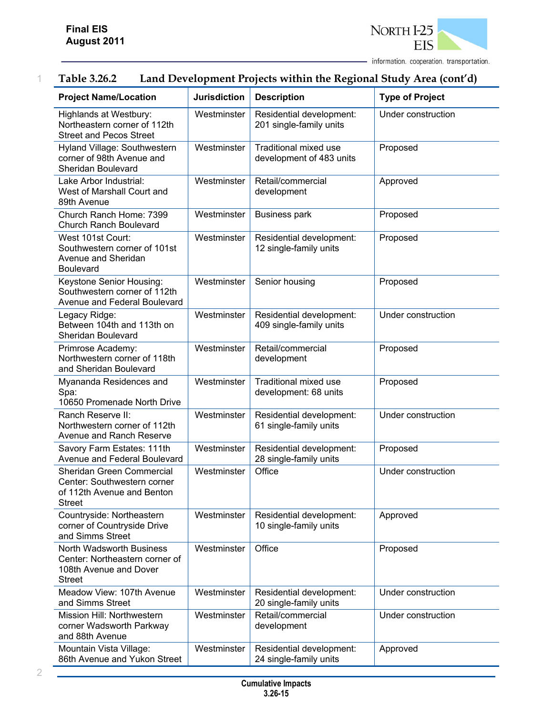

| <b>Project Name/Location</b>                                                                                 | <b>Jurisdiction</b> | <b>Description</b>                                       | <b>Type of Project</b> |
|--------------------------------------------------------------------------------------------------------------|---------------------|----------------------------------------------------------|------------------------|
| Highlands at Westbury:<br>Northeastern corner of 112th<br><b>Street and Pecos Street</b>                     | Westminster         | Residential development:<br>201 single-family units      | Under construction     |
| Hyland Village: Southwestern<br>corner of 98th Avenue and<br>Sheridan Boulevard                              | Westminster         | <b>Traditional mixed use</b><br>development of 483 units | Proposed               |
| Lake Arbor Industrial:<br>West of Marshall Court and<br>89th Avenue                                          | Westminster         | Retail/commercial<br>development                         | Approved               |
| Church Ranch Home: 7399<br><b>Church Ranch Boulevard</b>                                                     | Westminster         | <b>Business park</b>                                     | Proposed               |
| West 101st Court:<br>Southwestern corner of 101st<br>Avenue and Sheridan<br><b>Boulevard</b>                 | Westminster         | Residential development:<br>12 single-family units       | Proposed               |
| Keystone Senior Housing:<br>Southwestern corner of 112th<br>Avenue and Federal Boulevard                     | Westminster         | Senior housing                                           | Proposed               |
| Legacy Ridge:<br>Between 104th and 113th on<br>Sheridan Boulevard                                            | Westminster         | Residential development:<br>409 single-family units      | Under construction     |
| Primrose Academy:<br>Northwestern corner of 118th<br>and Sheridan Boulevard                                  | Westminster         | Retail/commercial<br>development                         | Proposed               |
| Myananda Residences and<br>Spa:<br>10650 Promenade North Drive                                               | Westminster         | Traditional mixed use<br>development: 68 units           | Proposed               |
| Ranch Reserve II:<br>Northwestern corner of 112th<br><b>Avenue and Ranch Reserve</b>                         | Westminster         | Residential development:<br>61 single-family units       | Under construction     |
| Savory Farm Estates: 111th<br>Avenue and Federal Boulevard                                                   | Westminster         | Residential development:<br>28 single-family units       | Proposed               |
| Sheridan Green Commercial<br>Center: Southwestern corner<br>of 112th Avenue and Benton<br><b>Street</b>      | Westminster         | Office                                                   | Under construction     |
| Countryside: Northeastern<br>corner of Countryside Drive<br>and Simms Street                                 | Westminster         | Residential development:<br>10 single-family units       | Approved               |
| <b>North Wadsworth Business</b><br>Center: Northeastern corner of<br>108th Avenue and Dover<br><b>Street</b> | Westminster         | Office                                                   | Proposed               |
| Meadow View: 107th Avenue<br>and Simms Street                                                                | Westminster         | Residential development:<br>20 single-family units       | Under construction     |
| Mission Hill: Northwestern<br>corner Wadsworth Parkway<br>and 88th Avenue                                    | Westminster         | Retail/commercial<br>development                         | Under construction     |
| Mountain Vista Village:<br>86th Avenue and Yukon Street                                                      | Westminster         | Residential development:<br>24 single-family units       | Approved               |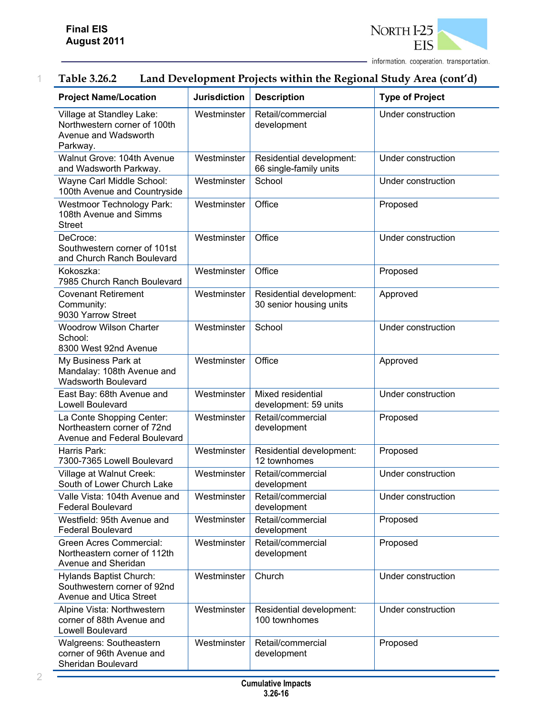

| <b>Project Name/Location</b>                                                                            | <b>Jurisdiction</b>                                     | <b>Description</b>                                  | <b>Type of Project</b> |  |
|---------------------------------------------------------------------------------------------------------|---------------------------------------------------------|-----------------------------------------------------|------------------------|--|
| Village at Standley Lake:<br>Northwestern corner of 100th<br>Avenue and Wadsworth<br>Parkway.           | Westminster                                             | Retail/commercial<br>development                    | Under construction     |  |
| Walnut Grove: 104th Avenue<br>and Wadsworth Parkway.                                                    | Westminster                                             | Residential development:<br>66 single-family units  | Under construction     |  |
| Wayne Carl Middle School:<br>100th Avenue and Countryside                                               | Westminster                                             | School                                              | Under construction     |  |
| <b>Westmoor Technology Park:</b><br>108th Avenue and Simms<br><b>Street</b>                             | Westminster                                             | Office                                              | Proposed               |  |
| DeCroce:<br>Southwestern corner of 101st<br>and Church Ranch Boulevard                                  | Westminster                                             | Office                                              | Under construction     |  |
| Kokoszka:<br>7985 Church Ranch Boulevard                                                                | Westminster                                             | Office                                              | Proposed               |  |
| <b>Covenant Retirement</b><br>Community:<br>9030 Yarrow Street                                          | Westminster                                             | Residential development:<br>30 senior housing units | Approved               |  |
| <b>Woodrow Wilson Charter</b><br>School:<br>8300 West 92nd Avenue                                       | School<br>Westminster                                   |                                                     | Under construction     |  |
| My Business Park at<br>Mandalay: 108th Avenue and<br><b>Wadsworth Boulevard</b>                         | Westminster                                             | Office                                              | Approved               |  |
| Westminster<br>East Bay: 68th Avenue and<br><b>Lowell Boulevard</b>                                     |                                                         | Mixed residential<br>development: 59 units          | Under construction     |  |
| La Conte Shopping Center:<br>Westminster<br>Northeastern corner of 72nd<br>Avenue and Federal Boulevard |                                                         | Retail/commercial<br>development                    | Proposed               |  |
| Harris Park:<br>7300-7365 Lowell Boulevard                                                              | Westminster<br>Residential development:<br>12 townhomes |                                                     | Proposed               |  |
| Village at Walnut Creek:<br>South of Lower Church Lake                                                  | Westminster                                             | Retail/commercial<br>development                    | Under construction     |  |
| Valle Vista: 104th Avenue and<br><b>Federal Boulevard</b>                                               | Westminster                                             | Retail/commercial<br>development                    | Under construction     |  |
| Westfield: 95th Avenue and<br><b>Federal Boulevard</b>                                                  | Westminster                                             | Retail/commercial<br>development                    | Proposed               |  |
| Green Acres Commercial:<br>Westminster<br>Northeastern corner of 112th<br>Avenue and Sheridan           |                                                         | Retail/commercial<br>development                    | Proposed               |  |
| Hylands Baptist Church:<br>Southwestern corner of 92nd<br>Avenue and Utica Street                       | Westminster                                             | Church                                              | Under construction     |  |
| Alpine Vista: Northwestern<br>corner of 88th Avenue and<br>Lowell Boulevard                             | Westminster                                             | Residential development:<br>100 townhomes           | Under construction     |  |
| Walgreens: Southeastern<br>corner of 96th Avenue and<br>Sheridan Boulevard                              | Westminster                                             | Retail/commercial<br>development                    | Proposed               |  |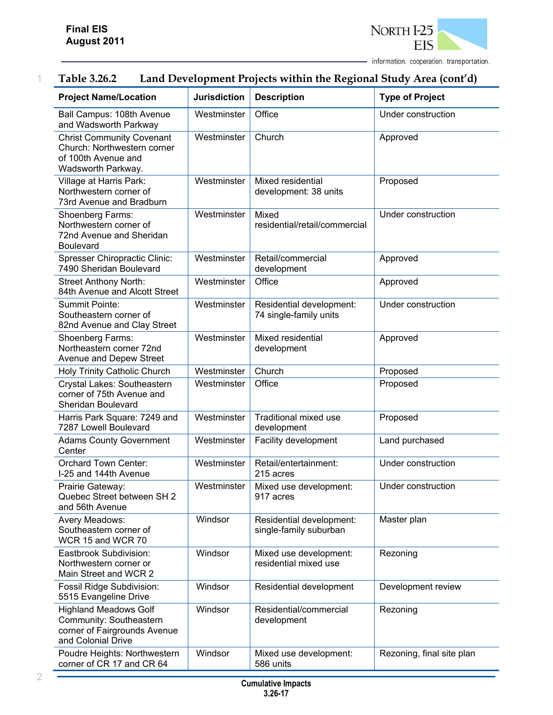| <b>Project Name/Location</b>                                                                                  | <b>Jurisdiction</b>   | <b>Description</b>                                 | <b>Type of Project</b>    |  |
|---------------------------------------------------------------------------------------------------------------|-----------------------|----------------------------------------------------|---------------------------|--|
| Ball Campus: 108th Avenue<br>and Wadsworth Parkway                                                            | Westminster           | Office                                             | Under construction        |  |
| <b>Christ Community Covenant</b><br>Church: Northwestern corner<br>of 100th Avenue and<br>Wadsworth Parkway.  | Westminster           | Church                                             | Approved                  |  |
| Village at Harris Park:<br>Northwestern corner of<br>73rd Avenue and Bradburn                                 | Westminster           | Mixed residential<br>development: 38 units         | Proposed                  |  |
| Shoenberg Farms:<br>Northwestern corner of<br>72nd Avenue and Sheridan<br><b>Boulevard</b>                    | Westminster           | Mixed<br>residential/retail/commercial             | Under construction        |  |
| <b>Spresser Chiropractic Clinic:</b><br>7490 Sheridan Boulevard                                               | Westminster           | Retail/commercial<br>development                   | Approved                  |  |
| <b>Street Anthony North:</b><br>84th Avenue and Alcott Street                                                 | Westminster           | Office                                             | Approved                  |  |
| Summit Pointe:<br>Southeastern corner of<br>82nd Avenue and Clay Street                                       | Westminster           | Residential development:<br>74 single-family units | Under construction        |  |
| Shoenberg Farms:<br>Northeastern corner 72nd<br>Avenue and Depew Street                                       | Westminster           | Mixed residential<br>development                   | Approved                  |  |
| Holy Trinity Catholic Church                                                                                  | Church<br>Westminster |                                                    | Proposed                  |  |
| Crystal Lakes: Southeastern<br>corner of 75th Avenue and<br>Sheridan Boulevard                                | Westminster           | Office                                             | Proposed                  |  |
| Harris Park Square: 7249 and<br>7287 Lowell Boulevard                                                         | Westminster           | <b>Traditional mixed use</b><br>development        | Proposed                  |  |
| <b>Adams County Government</b><br>Center                                                                      | Westminster           | Facility development                               | Land purchased            |  |
| <b>Orchard Town Center:</b><br>I-25 and 144th Avenue                                                          | Westminster           | Retail/entertainment:<br>215 acres                 | Under construction        |  |
| Prairie Gateway:<br>Quebec Street between SH 2<br>and 56th Avenue                                             | Westminster           | Mixed use development:<br>917 acres                | Under construction        |  |
| Avery Meadows:<br>Southeastern corner of<br>WCR 15 and WCR 70                                                 | Windsor               | Residential development:<br>single-family suburban | Master plan               |  |
| Eastbrook Subdivision:<br>Northwestern corner or<br>Main Street and WCR 2                                     | Windsor               | Mixed use development:<br>residential mixed use    | Rezoning                  |  |
| Fossil Ridge Subdivision:<br>5515 Evangeline Drive                                                            | Windsor               | Residential development                            | Development review        |  |
| <b>Highland Meadows Golf</b><br>Community: Southeastern<br>corner of Fairgrounds Avenue<br>and Colonial Drive | Windsor               | Residential/commercial<br>development              | Rezoning                  |  |
| Poudre Heights: Northwestern<br>corner of CR 17 and CR 64                                                     | Windsor               | Mixed use development:<br>586 units                | Rezoning, final site plan |  |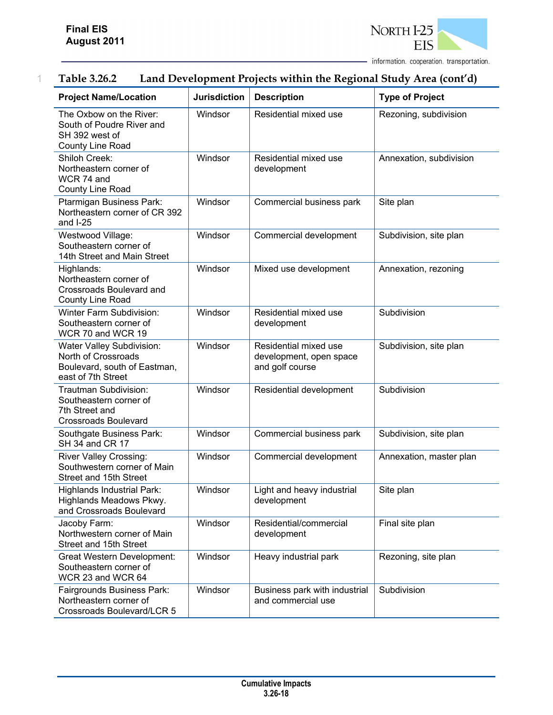

| <b>Project Name/Location</b>                                                                           | <b>Jurisdiction</b>                                  | <b>Description</b>                                                  | <b>Type of Project</b>  |  |
|--------------------------------------------------------------------------------------------------------|------------------------------------------------------|---------------------------------------------------------------------|-------------------------|--|
| The Oxbow on the River:<br>South of Poudre River and<br>SH 392 west of<br>County Line Road             | Windsor                                              | Residential mixed use                                               | Rezoning, subdivision   |  |
| Shiloh Creek:<br>Northeastern corner of<br>WCR 74 and<br>County Line Road                              | Windsor                                              | Residential mixed use<br>development                                | Annexation, subdivision |  |
| Ptarmigan Business Park:<br>Northeastern corner of CR 392<br>and $I-25$                                | Windsor                                              | Commercial business park                                            | Site plan               |  |
| Westwood Village:<br>Southeastern corner of<br>14th Street and Main Street                             | Windsor                                              | Commercial development                                              | Subdivision, site plan  |  |
| Highlands:<br>Northeastern corner of<br>Crossroads Boulevard and<br>County Line Road                   | Windsor                                              | Mixed use development                                               | Annexation, rezoning    |  |
| <b>Winter Farm Subdivision:</b><br>Southeastern corner of<br>WCR 70 and WCR 19                         | Windsor                                              | Residential mixed use<br>development                                | Subdivision             |  |
| Water Valley Subdivision:<br>North of Crossroads<br>Boulevard, south of Eastman,<br>east of 7th Street | Windsor                                              | Residential mixed use<br>development, open space<br>and golf course | Subdivision, site plan  |  |
| Trautman Subdivision:<br>Southeastern corner of<br>7th Street and<br><b>Crossroads Boulevard</b>       | Windsor<br>Residential development                   |                                                                     | Subdivision             |  |
| Southgate Business Park:<br>SH 34 and CR 17                                                            | Windsor                                              | Commercial business park                                            | Subdivision, site plan  |  |
| <b>River Valley Crossing:</b><br>Southwestern corner of Main<br>Street and 15th Street                 | Windsor<br>Commercial development                    |                                                                     | Annexation, master plan |  |
| Highlands Industrial Park:<br>Highlands Meadows Pkwy.<br>and Crossroads Boulevard                      | Windsor<br>Light and heavy industrial<br>development |                                                                     | Site plan               |  |
| Jacoby Farm:<br>Northwestern corner of Main<br>Street and 15th Street                                  | Windsor                                              | Residential/commercial<br>development                               | Final site plan         |  |
| Great Western Development:<br>Southeastern corner of<br>WCR 23 and WCR 64                              | Windsor                                              | Heavy industrial park                                               | Rezoning, site plan     |  |
| Fairgrounds Business Park:<br>Northeastern corner of<br>Crossroads Boulevard/LCR 5                     | Windsor                                              | Business park with industrial<br>and commercial use                 | Subdivision             |  |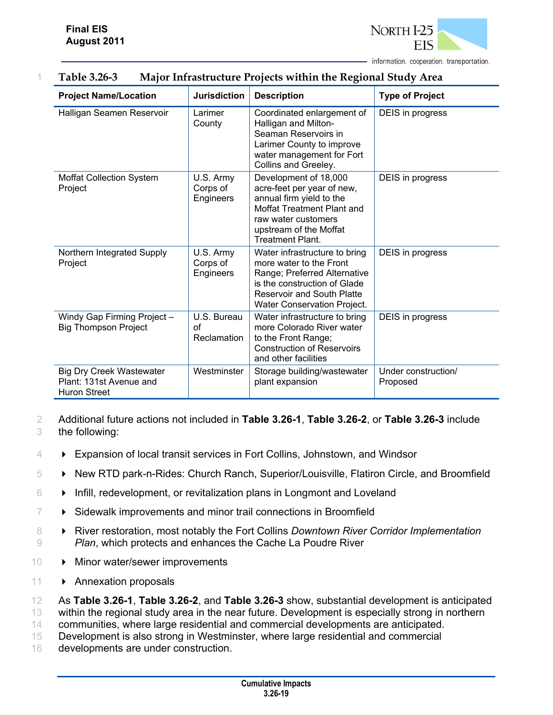

| <b>Project Name/Location</b>                                                      | <b>Jurisdiction</b>                      | <b>Description</b>                                                                                                                                                                           | <b>Type of Project</b>          |
|-----------------------------------------------------------------------------------|------------------------------------------|----------------------------------------------------------------------------------------------------------------------------------------------------------------------------------------------|---------------------------------|
| Halligan Seamen Reservoir                                                         | Larimer<br>County                        | Coordinated enlargement of<br>Halligan and Milton-<br>Seaman Reservoirs in<br>Larimer County to improve<br>water management for Fort<br>Collins and Greeley.                                 | DEIS in progress                |
| <b>Moffat Collection System</b><br>Project                                        | U.S. Army<br>Corps of<br>Engineers       | Development of 18,000<br>acre-feet per year of new,<br>annual firm yield to the<br>Moffat Treatment Plant and<br>raw water customers<br>upstream of the Moffat<br><b>Treatment Plant.</b>    | DEIS in progress                |
| Northern Integrated Supply<br>Project                                             | U.S. Army<br>Corps of<br>Engineers       | Water infrastructure to bring<br>more water to the Front<br>Range; Preferred Alternative<br>is the construction of Glade<br><b>Reservoir and South Platte</b><br>Water Conservation Project. | DEIS in progress                |
| Windy Gap Firming Project -<br><b>Big Thompson Project</b>                        | U.S. Bureau<br>$\alpha$ f<br>Reclamation | Water infrastructure to bring<br>more Colorado River water<br>to the Front Range;<br><b>Construction of Reservoirs</b><br>and other facilities                                               | DEIS in progress                |
| <b>Big Dry Creek Wastewater</b><br>Plant: 131st Avenue and<br><b>Huron Street</b> | Westminster                              | Storage building/wastewater<br>plant expansion                                                                                                                                               | Under construction/<br>Proposed |

#### 1 **Table 3.26-3 Major Infrastructure Projects within the Regional Study Area**

2 Additional future actions not included in **Table 3.26-1**, **Table 3.26-2**, or **Table 3.26-3** include 3 the following:

- 4 Expansion of local transit services in Fort Collins, Johnstown, and Windsor
- 5 New RTD park-n-Rides: Church Ranch, Superior/Louisville, Flatiron Circle, and Broomfield
- $6 \rightarrow$  Infill, redevelopment, or revitalization plans in Longmont and Loveland
- $7 \rightarrow$  Sidewalk improvements and minor trail connections in Broomfield
- 8  **River restoration, most notably the Fort Collins** *Downtown River Corridor Implementation* 9 *Plan*, which protects and enhances the Cache La Poudre River
- 10 Minor water/sewer improvements
- 11 > Annexation proposals

12 As **Table 3.26-1**, **Table 3.26-2**, and **Table 3.26-3** show, substantial development is anticipated 13 within the regional study area in the near future. Development is especially strong in northern

14 communities, where large residential and commercial developments are anticipated.

- 15 Development is also strong in Westminster, where large residential and commercial
- 16 developments are under construction.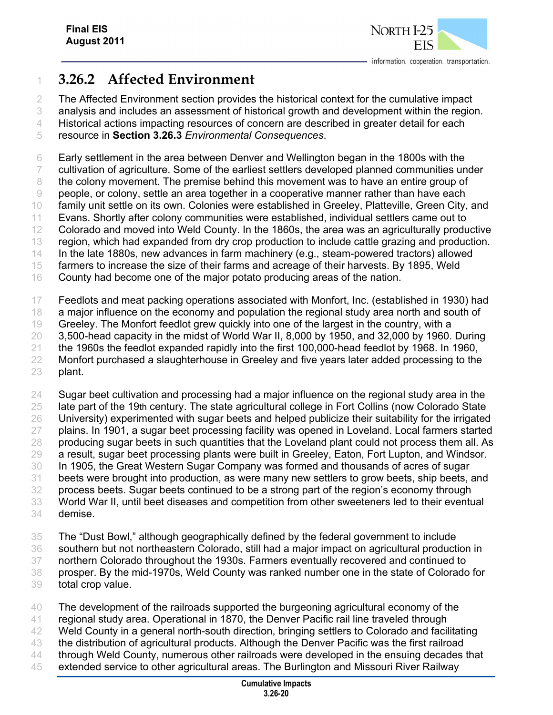

# **3.26.2 Affected Environment**

The Affected Environment section provides the historical context for the cumulative impact

analysis and includes an assessment of historical growth and development within the region.

Historical actions impacting resources of concern are described in greater detail for each

resource in **Section 3.26.3** *Environmental Consequences*.

 Early settlement in the area between Denver and Wellington began in the 1800s with the cultivation of agriculture. Some of the earliest settlers developed planned communities under the colony movement. The premise behind this movement was to have an entire group of people, or colony, settle an area together in a cooperative manner rather than have each family unit settle on its own. Colonies were established in Greeley, Platteville, Green City, and Evans. Shortly after colony communities were established, individual settlers came out to Colorado and moved into Weld County. In the 1860s, the area was an agriculturally productive region, which had expanded from dry crop production to include cattle grazing and production. In the late 1880s, new advances in farm machinery (e.g., steam-powered tractors) allowed farmers to increase the size of their farms and acreage of their harvests. By 1895, Weld County had become one of the major potato producing areas of the nation.

Feedlots and meat packing operations associated with Monfort, Inc. (established in 1930) had

18 a major influence on the economy and population the regional study area north and south of

Greeley. The Monfort feedlot grew quickly into one of the largest in the country, with a

3,500-head capacity in the midst of World War II, 8,000 by 1950, and 32,000 by 1960. During

 the 1960s the feedlot expanded rapidly into the first 100,000-head feedlot by 1968. In 1960, 22 Monfort purchased a slaughterhouse in Greeley and five years later added processing to the plant.

 Sugar beet cultivation and processing had a major influence on the regional study area in the late part of the 19th century. The state agricultural college in Fort Collins (now Colorado State University) experimented with sugar beets and helped publicize their suitability for the irrigated plains. In 1901, a sugar beet processing facility was opened in Loveland. Local farmers started producing sugar beets in such quantities that the Loveland plant could not process them all. As a result, sugar beet processing plants were built in Greeley, Eaton, Fort Lupton, and Windsor. In 1905, the Great Western Sugar Company was formed and thousands of acres of sugar beets were brought into production, as were many new settlers to grow beets, ship beets, and process beets. Sugar beets continued to be a strong part of the region's economy through World War II, until beet diseases and competition from other sweeteners led to their eventual demise.

The "Dust Bowl," although geographically defined by the federal government to include

southern but not northeastern Colorado, still had a major impact on agricultural production in

northern Colorado throughout the 1930s. Farmers eventually recovered and continued to

- prosper. By the mid-1970s, Weld County was ranked number one in the state of Colorado for total crop value.
- The development of the railroads supported the burgeoning agricultural economy of the
- regional study area. Operational in 1870, the Denver Pacific rail line traveled through
- Weld County in a general north-south direction, bringing settlers to Colorado and facilitating
- the distribution of agricultural products. Although the Denver Pacific was the first railroad
- 44 through Weld County, numerous other railroads were developed in the ensuing decades that
- extended service to other agricultural areas. The Burlington and Missouri River Railway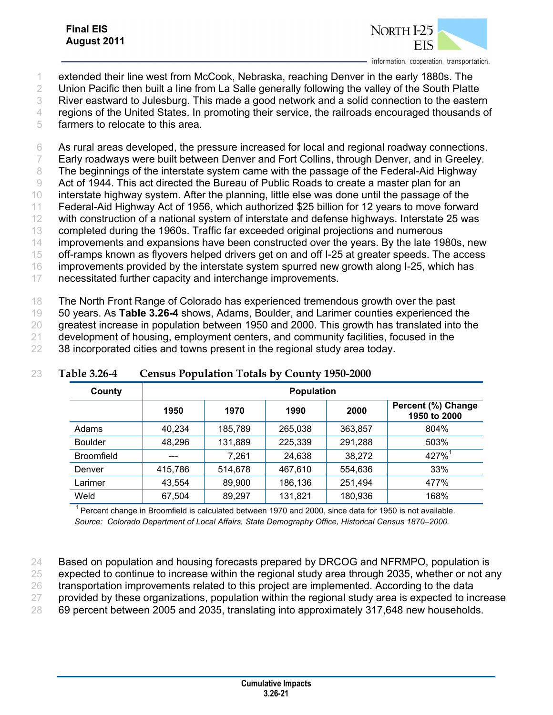

1 extended their line west from McCook, Nebraska, reaching Denver in the early 1880s. The

2 Union Pacific then built a line from La Salle generally following the valley of the South Platte

3 River eastward to Julesburg. This made a good network and a solid connection to the eastern

4 regions of the United States. In promoting their service, the railroads encouraged thousands of

5 farmers to relocate to this area.

6 As rural areas developed, the pressure increased for local and regional roadway connections.

7 Early roadways were built between Denver and Fort Collins, through Denver, and in Greeley.

8 The beginnings of the interstate system came with the passage of the Federal-Aid Highway

9 Act of 1944. This act directed the Bureau of Public Roads to create a master plan for an

10 interstate highway system. After the planning, little else was done until the passage of the

11 Federal-Aid Highway Act of 1956, which authorized \$25 billion for 12 years to move forward

12 with construction of a national system of interstate and defense highways. Interstate 25 was

13 completed during the 1960s. Traffic far exceeded original projections and numerous 14 improvements and expansions have been constructed over the years. By the late 1980s, new

15 off-ramps known as flyovers helped drivers get on and off I-25 at greater speeds. The access

16 improvements provided by the interstate system spurred new growth along I-25, which has

17 necessitated further capacity and interchange improvements.

18 The North Front Range of Colorado has experienced tremendous growth over the past

19 50 years. As **Table 3.26-4** shows, Adams, Boulder, and Larimer counties experienced the

20 greatest increase in population between 1950 and 2000. This growth has translated into the

21 development of housing, employment centers, and community facilities, focused in the

22 38 incorporated cities and towns present in the regional study area today.

| County            | <b>Population</b> |         |         |         |                                    |  |  |
|-------------------|-------------------|---------|---------|---------|------------------------------------|--|--|
|                   | 1950              | 1970    | 1990    | 2000    | Percent (%) Change<br>1950 to 2000 |  |  |
| Adams             | 40,234            | 185,789 | 265,038 | 363,857 | 804%                               |  |  |
| <b>Boulder</b>    | 48,296            | 131,889 | 225,339 | 291,288 | 503%                               |  |  |
| <b>Broomfield</b> |                   | 7,261   | 24,638  | 38,272  | $427\%$ <sup>1</sup>               |  |  |
| Denver            | 415,786           | 514,678 | 467,610 | 554,636 | 33%                                |  |  |
| Larimer           | 43,554            | 89,900  | 186,136 | 251,494 | 477%                               |  |  |
| Weld              | 67,504            | 89,297  | 131,821 | 180,936 | 168%                               |  |  |

#### 23 **Table 3.26-4 Census Population Totals by County 1950-2000**

<sup>1</sup> Percent change in Broomfield is calculated between 1970 and 2000, since data for 1950 is not available. *Source: Colorado Department of Local Affairs, State Demography Office, Historical Census 1870–2000.* 

24 Based on population and housing forecasts prepared by DRCOG and NFRMPO, population is

25 expected to continue to increase within the regional study area through 2035, whether or not any

26 transportation improvements related to this project are implemented. According to the data

27 provided by these organizations, population within the regional study area is expected to increase

28 69 percent between 2005 and 2035, translating into approximately 317,648 new households.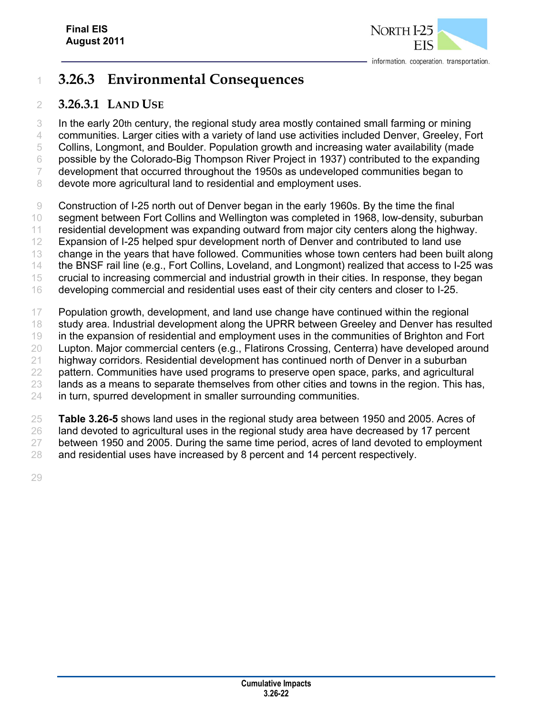

# **3.26.3 Environmental Consequences**

### **3.26.3.1 LAND USE**

 In the early 20th century, the regional study area mostly contained small farming or mining communities. Larger cities with a variety of land use activities included Denver, Greeley, Fort Collins, Longmont, and Boulder. Population growth and increasing water availability (made possible by the Colorado-Big Thompson River Project in 1937) contributed to the expanding development that occurred throughout the 1950s as undeveloped communities began to 8 devote more agricultural land to residential and employment uses.

Construction of I-25 north out of Denver began in the early 1960s. By the time the final

segment between Fort Collins and Wellington was completed in 1968, low-density, suburban

residential development was expanding outward from major city centers along the highway.

Expansion of I-25 helped spur development north of Denver and contributed to land use

change in the years that have followed. Communities whose town centers had been built along

the BNSF rail line (e.g., Fort Collins, Loveland, and Longmont) realized that access to I-25 was

 crucial to increasing commercial and industrial growth in their cities. In response, they began developing commercial and residential uses east of their city centers and closer to I-25.

 Population growth, development, and land use change have continued within the regional 18 study area. Industrial development along the UPRR between Greeley and Denver has resulted in the expansion of residential and employment uses in the communities of Brighton and Fort Lupton. Major commercial centers (e.g., Flatirons Crossing, Centerra) have developed around highway corridors. Residential development has continued north of Denver in a suburban pattern. Communities have used programs to preserve open space, parks, and agricultural 23 lands as a means to separate themselves from other cities and towns in the region. This has, in turn, spurred development in smaller surrounding communities.

 **Table 3.26-5** shows land uses in the regional study area between 1950 and 2005. Acres of 26 land devoted to agricultural uses in the regional study area have decreased by 17 percent between 1950 and 2005. During the same time period, acres of land devoted to employment 28 and residential uses have increased by 8 percent and 14 percent respectively.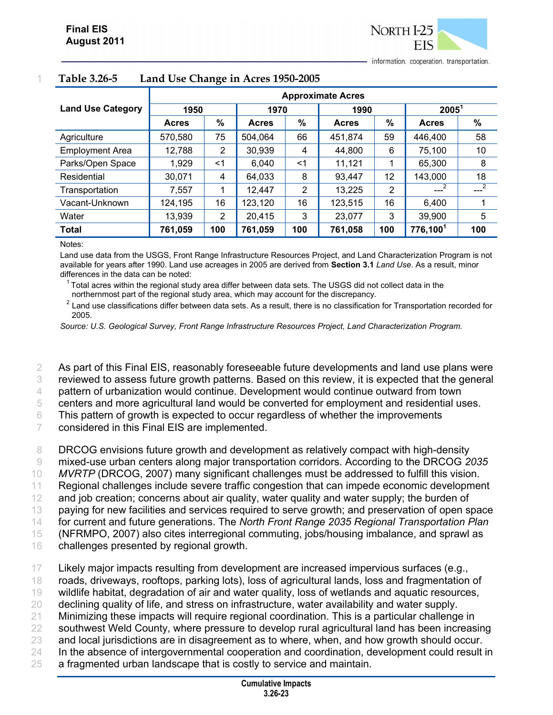information. cooperation. transportation.

|                          | <b>Approximate Acres</b> |      |              |                |              |     |                      |      |
|--------------------------|--------------------------|------|--------------|----------------|--------------|-----|----------------------|------|
| <b>Land Use Category</b> | 1950                     |      | 1970         |                | 1990         |     | $2005^1$             |      |
|                          | <b>Acres</b>             | $\%$ | <b>Acres</b> | $\%$           | <b>Acres</b> | %   | <b>Acres</b>         | $\%$ |
| Agriculture              | 570,580                  | 75   | 504,064      | 66             | 451,874      | 59  | 446,400              | 58   |
| <b>Employment Area</b>   | 12,788                   | 2    | 30,939       | 4              | 44.800       | 6   | 75,100               | 10   |
| Parks/Open Space         | 1,929                    | <1   | 6,040        | $<$ 1          | 11,121       |     | 65,300               | 8    |
| Residential              | 30,071                   | 4    | 64,033       | 8              | 93,447       | 12  | 143,000              | 18   |
| Transportation           | 7,557                    |      | 12,447       | $\overline{2}$ | 13,225       | 2   | $\overline{2}$       | $-2$ |
| Vacant-Unknown           | 124,195                  | 16   | 123,120      | 16             | 123,515      | 16  | 6,400                | 4    |
| Water                    | 13,939                   | 2    | 20,415       | 3              | 23,077       | 3   | 39,900               | 5    |
| <b>Total</b>             | 761,059                  | 100  | 761,059      | 100            | 761,058      | 100 | 776,100 <sup>1</sup> | 100  |

#### 1 **Table 3.26-5 Land Use Change in Acres 1950-2005**

Notes:

Land use data from the USGS, Front Range Infrastructure Resources Project, and Land Characterization Program is not available for years after 1990. Land use acreages in 2005 are derived from **Section 3.1** *Land Use*. As a result, minor differences in the data can be noted:

1 Total acres within the regional study area differ between data sets. The USGS did not collect data in the northernmost part of the regional study area, which may account for the discrepancy. 2

 $2$  Land use classifications differ between data sets. As a result, there is no classification for Transportation recorded for 2005.

*Source: U.S. Geological Survey, Front Range Infrastructure Resources Project, Land Characterization Program.* 

2 As part of this Final EIS, reasonably foreseeable future developments and land use plans were 3 reviewed to assess future growth patterns. Based on this review, it is expected that the general

4 pattern of urbanization would continue. Development would continue outward from town

5 centers and more agricultural land would be converted for employment and residential uses.

6 This pattern of growth is expected to occur regardless of whether the improvements

7 considered in this Final EIS are implemented.

 DRCOG envisions future growth and development as relatively compact with high-density mixed-use urban centers along major transportation corridors. According to the DRCOG *2035 MVRTP* (DRCOG, 2007) many significant challenges must be addressed to fulfill this vision. Regional challenges include severe traffic congestion that can impede economic development and job creation; concerns about air quality, water quality and water supply; the burden of paying for new facilities and services required to serve growth; and preservation of open space for current and future generations. The *North Front Range 2035 Regional Transportation Plan* (NFRMPO, 2007) also cites interregional commuting, jobs/housing imbalance, and sprawl as challenges presented by regional growth.

17 Likely major impacts resulting from development are increased impervious surfaces (e.g.,

- 18 roads, driveways, rooftops, parking lots), loss of agricultural lands, loss and fragmentation of
- 19 wildlife habitat, degradation of air and water quality, loss of wetlands and aquatic resources,
- 20 declining quality of life, and stress on infrastructure, water availability and water supply.
- 21 Minimizing these impacts will require regional coordination. This is a particular challenge in
- 22 southwest Weld County, where pressure to develop rural agricultural land has been increasing
- 23 and local jurisdictions are in disagreement as to where, when, and how growth should occur.
- 24 In the absence of intergovernmental cooperation and coordination, development could result in
- 25 a fragmented urban landscape that is costly to service and maintain.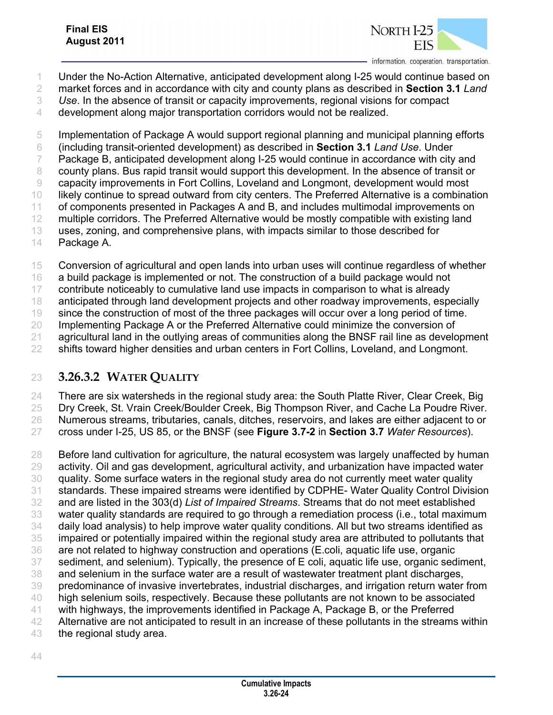

- Under the No-Action Alternative, anticipated development along I-25 would continue based on
- market forces and in accordance with city and county plans as described in **Section 3.1** *Land*
- *Use*. In the absence of transit or capacity improvements, regional visions for compact
- development along major transportation corridors would not be realized.

 Implementation of Package A would support regional planning and municipal planning efforts (including transit-oriented development) as described in **Section 3.1** *Land Use*. Under Package B, anticipated development along I-25 would continue in accordance with city and county plans. Bus rapid transit would support this development. In the absence of transit or capacity improvements in Fort Collins, Loveland and Longmont, development would most likely continue to spread outward from city centers. The Preferred Alternative is a combination of components presented in Packages A and B, and includes multimodal improvements on 12 multiple corridors. The Preferred Alternative would be mostly compatible with existing land uses, zoning, and comprehensive plans, with impacts similar to those described for Package A.

Conversion of agricultural and open lands into urban uses will continue regardless of whether

a build package is implemented or not. The construction of a build package would not

contribute noticeably to cumulative land use impacts in comparison to what is already

anticipated through land development projects and other roadway improvements, especially

since the construction of most of the three packages will occur over a long period of time.

20 Implementing Package A or the Preferred Alternative could minimize the conversion of

21 agricultural land in the outlying areas of communities along the BNSF rail line as development

22 shifts toward higher densities and urban centers in Fort Collins, Loveland, and Longmont.

### **3.26.3.2 WATER QUALITY**

There are six watersheds in the regional study area: the South Platte River, Clear Creek, Big

 Dry Creek, St. Vrain Creek/Boulder Creek, Big Thompson River, and Cache La Poudre River. Numerous streams, tributaries, canals, ditches, reservoirs, and lakes are either adjacent to or

cross under I-25, US 85, or the BNSF (see **Figure 3.7-2** in **Section 3.7** *Water Resources*).

 Before land cultivation for agriculture, the natural ecosystem was largely unaffected by human activity. Oil and gas development, agricultural activity, and urbanization have impacted water quality. Some surface waters in the regional study area do not currently meet water quality standards. These impaired streams were identified by CDPHE- Water Quality Control Division and are listed in the 303(d) *List of Impaired Streams*. Streams that do not meet established water quality standards are required to go through a remediation process (i.e., total maximum daily load analysis) to help improve water quality conditions. All but two streams identified as impaired or potentially impaired within the regional study area are attributed to pollutants that are not related to highway construction and operations (E.coli, aquatic life use, organic sediment, and selenium). Typically, the presence of E coli, aquatic life use, organic sediment, and selenium in the surface water are a result of wastewater treatment plant discharges, predominance of invasive invertebrates, industrial discharges, and irrigation return water from high selenium soils, respectively. Because these pollutants are not known to be associated with highways, the improvements identified in Package A, Package B, or the Preferred Alternative are not anticipated to result in an increase of these pollutants in the streams within

the regional study area.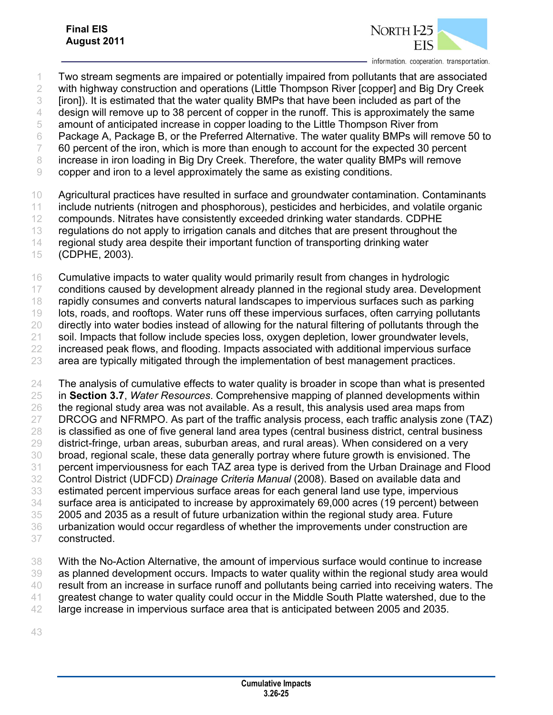

- Two stream segments are impaired or potentially impaired from pollutants that are associated with highway construction and operations (Little Thompson River [copper] and Big Dry Creek [iron]). It is estimated that the water quality BMPs that have been included as part of the 4 design will remove up to 38 percent of copper in the runoff. This is approximately the same amount of anticipated increase in copper loading to the Little Thompson River from Package A, Package B, or the Preferred Alternative. The water quality BMPs will remove 50 to 60 percent of the iron, which is more than enough to account for the expected 30 percent increase in iron loading in Big Dry Creek. Therefore, the water quality BMPs will remove copper and iron to a level approximately the same as existing conditions. Agricultural practices have resulted in surface and groundwater contamination. Contaminants include nutrients (nitrogen and phosphorous), pesticides and herbicides, and volatile organic compounds. Nitrates have consistently exceeded drinking water standards. CDPHE
- regulations do not apply to irrigation canals and ditches that are present throughout the
- regional study area despite their important function of transporting drinking water
- (CDPHE, 2003).
- Cumulative impacts to water quality would primarily result from changes in hydrologic
- conditions caused by development already planned in the regional study area. Development rapidly consumes and converts natural landscapes to impervious surfaces such as parking
- lots, roads, and rooftops. Water runs off these impervious surfaces, often carrying pollutants
- directly into water bodies instead of allowing for the natural filtering of pollutants through the
- 21 soil. Impacts that follow include species loss, oxygen depletion, lower groundwater levels,
- 22 increased peak flows, and flooding. Impacts associated with additional impervious surface
- area are typically mitigated through the implementation of best management practices.
- The analysis of cumulative effects to water quality is broader in scope than what is presented in **Section 3.7**, *Water Resources*. Comprehensive mapping of planned developments within the regional study area was not available. As a result, this analysis used area maps from DRCOG and NFRMPO. As part of the traffic analysis process, each traffic analysis zone (TAZ) is classified as one of five general land area types (central business district, central business district-fringe, urban areas, suburban areas, and rural areas). When considered on a very broad, regional scale, these data generally portray where future growth is envisioned. The percent imperviousness for each TAZ area type is derived from the Urban Drainage and Flood Control District (UDFCD) *Drainage Criteria Manual* (2008). Based on available data and estimated percent impervious surface areas for each general land use type, impervious surface area is anticipated to increase by approximately 69,000 acres (19 percent) between 2005 and 2035 as a result of future urbanization within the regional study area. Future urbanization would occur regardless of whether the improvements under construction are constructed.
- With the No-Action Alternative, the amount of impervious surface would continue to increase as planned development occurs. Impacts to water quality within the regional study area would result from an increase in surface runoff and pollutants being carried into receiving waters. The greatest change to water quality could occur in the Middle South Platte watershed, due to the large increase in impervious surface area that is anticipated between 2005 and 2035.
-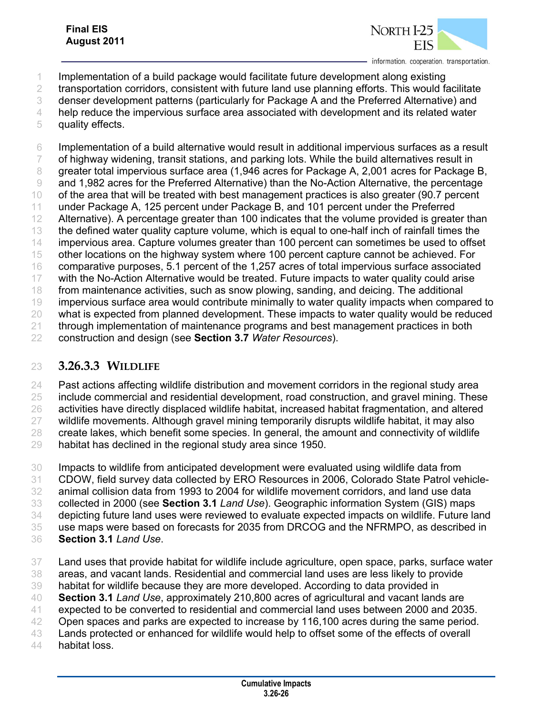

- Implementation of a build package would facilitate future development along existing
- transportation corridors, consistent with future land use planning efforts. This would facilitate
- denser development patterns (particularly for Package A and the Preferred Alternative) and
- help reduce the impervious surface area associated with development and its related water
- quality effects.

 Implementation of a build alternative would result in additional impervious surfaces as a result of highway widening, transit stations, and parking lots. While the build alternatives result in greater total impervious surface area (1,946 acres for Package A, 2,001 acres for Package B, and 1,982 acres for the Preferred Alternative) than the No-Action Alternative, the percentage of the area that will be treated with best management practices is also greater (90.7 percent under Package A, 125 percent under Package B, and 101 percent under the Preferred 12 Alternative). A percentage greater than 100 indicates that the volume provided is greater than the defined water quality capture volume, which is equal to one-half inch of rainfall times the impervious area. Capture volumes greater than 100 percent can sometimes be used to offset other locations on the highway system where 100 percent capture cannot be achieved. For comparative purposes, 5.1 percent of the 1,257 acres of total impervious surface associated with the No-Action Alternative would be treated. Future impacts to water quality could arise from maintenance activities, such as snow plowing, sanding, and deicing. The additional impervious surface area would contribute minimally to water quality impacts when compared to what is expected from planned development. These impacts to water quality would be reduced through implementation of maintenance programs and best management practices in both construction and design (see **Section 3.7** *Water Resources*).

### **3.26.3.3 WILDLIFE**

 Past actions affecting wildlife distribution and movement corridors in the regional study area 25 include commercial and residential development, road construction, and gravel mining. These activities have directly displaced wildlife habitat, increased habitat fragmentation, and altered wildlife movements. Although gravel mining temporarily disrupts wildlife habitat, it may also create lakes, which benefit some species. In general, the amount and connectivity of wildlife

habitat has declined in the regional study area since 1950.

 Impacts to wildlife from anticipated development were evaluated using wildlife data from CDOW, field survey data collected by ERO Resources in 2006, Colorado State Patrol vehicle- animal collision data from 1993 to 2004 for wildlife movement corridors, and land use data collected in 2000 (see **Section 3.1** *Land Use*). Geographic information System (GIS) maps depicting future land uses were reviewed to evaluate expected impacts on wildlife. Future land use maps were based on forecasts for 2035 from DRCOG and the NFRMPO, as described in **Section 3.1** *Land Use*.

- Land uses that provide habitat for wildlife include agriculture, open space, parks, surface water areas, and vacant lands. Residential and commercial land uses are less likely to provide habitat for wildlife because they are more developed. According to data provided in **Section 3.1** *Land Use*, approximately 210,800 acres of agricultural and vacant lands are expected to be converted to residential and commercial land uses between 2000 and 2035.
- Open spaces and parks are expected to increase by 116,100 acres during the same period.
- Lands protected or enhanced for wildlife would help to offset some of the effects of overall
- habitat loss.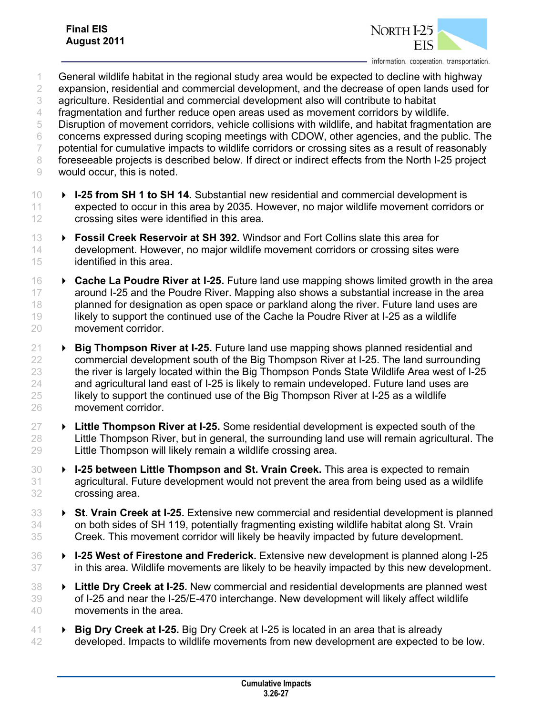

- General wildlife habitat in the regional study area would be expected to decline with highway expansion, residential and commercial development, and the decrease of open lands used for agriculture. Residential and commercial development also will contribute to habitat fragmentation and further reduce open areas used as movement corridors by wildlife. Disruption of movement corridors, vehicle collisions with wildlife, and habitat fragmentation are concerns expressed during scoping meetings with CDOW, other agencies, and the public. The potential for cumulative impacts to wildlife corridors or crossing sites as a result of reasonably 8 foreseeable projects is described below. If direct or indirect effects from the North I-25 project would occur, this is noted.
- **I-25 from SH 1 to SH 14.** Substantial new residential and commercial development is expected to occur in this area by 2035. However, no major wildlife movement corridors or crossing sites were identified in this area.
- **Fossil Creek Reservoir at SH 392.** Windsor and Fort Collins slate this area for development. However, no major wildlife movement corridors or crossing sites were identified in this area.
- **Cache La Poudre River at I-25.** Future land use mapping shows limited growth in the area around I-25 and the Poudre River. Mapping also shows a substantial increase in the area 18 planned for designation as open space or parkland along the river. Future land uses are likely to support the continued use of the Cache la Poudre River at I-25 as a wildlife movement corridor.
- **Big Thompson River at I-25.** Future land use mapping shows planned residential and commercial development south of the Big Thompson River at I-25. The land surrounding 23 the river is largely located within the Big Thompson Ponds State Wildlife Area west of I-25 and agricultural land east of I-25 is likely to remain undeveloped. Future land uses are likely to support the continued use of the Big Thompson River at I-25 as a wildlife movement corridor.
- **Little Thompson River at I-25.** Some residential development is expected south of the Little Thompson River, but in general, the surrounding land use will remain agricultural. The Little Thompson will likely remain a wildlife crossing area.
- **I-25 between Little Thompson and St. Vrain Creek.** This area is expected to remain agricultural. Future development would not prevent the area from being used as a wildlife crossing area.
- **St. Vrain Creek at I-25.** Extensive new commercial and residential development is planned on both sides of SH 119, potentially fragmenting existing wildlife habitat along St. Vrain Creek. This movement corridor will likely be heavily impacted by future development.
- **I-25 West of Firestone and Frederick.** Extensive new development is planned along I-25 in this area. Wildlife movements are likely to be heavily impacted by this new development.
- **Little Dry Creek at I-25.** New commercial and residential developments are planned west of I-25 and near the I-25/E-470 interchange. New development will likely affect wildlife movements in the area.
- **Big Dry Creek at I-25.** Big Dry Creek at I-25 is located in an area that is already developed. Impacts to wildlife movements from new development are expected to be low.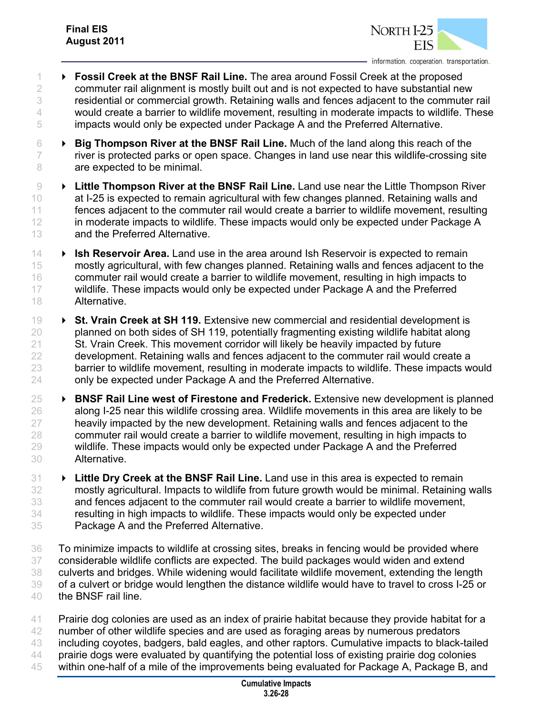

- **Fossil Creek at the BNSF Rail Line.** The area around Fossil Creek at the proposed commuter rail alignment is mostly built out and is not expected to have substantial new residential or commercial growth. Retaining walls and fences adjacent to the commuter rail 4 would create a barrier to wildlife movement, resulting in moderate impacts to wildlife. These impacts would only be expected under Package A and the Preferred Alternative.
- **Big Thompson River at the BNSF Rail Line.** Much of the land along this reach of the river is protected parks or open space. Changes in land use near this wildlife-crossing site 8 are expected to be minimal.
- **Little Thompson River at the BNSF Rail Line.** Land use near the Little Thompson River 10 at I-25 is expected to remain agricultural with few changes planned. Retaining walls and fences adjacent to the commuter rail would create a barrier to wildlife movement, resulting 12 in moderate impacts to wildlife. These impacts would only be expected under Package A and the Preferred Alternative.
- **Ish Reservoir Area.** Land use in the area around Ish Reservoir is expected to remain mostly agricultural, with few changes planned. Retaining walls and fences adjacent to the commuter rail would create a barrier to wildlife movement, resulting in high impacts to 17 wildlife. These impacts would only be expected under Package A and the Preferred Alternative.
- **St. Vrain Creek at SH 119.** Extensive new commercial and residential development is planned on both sides of SH 119, potentially fragmenting existing wildlife habitat along St. Vrain Creek. This movement corridor will likely be heavily impacted by future development. Retaining walls and fences adjacent to the commuter rail would create a barrier to wildlife movement, resulting in moderate impacts to wildlife. These impacts would only be expected under Package A and the Preferred Alternative.
- **BNSF Rail Line west of Firestone and Frederick.** Extensive new development is planned along I-25 near this wildlife crossing area. Wildlife movements in this area are likely to be 27 heavily impacted by the new development. Retaining walls and fences adjacent to the commuter rail would create a barrier to wildlife movement, resulting in high impacts to wildlife. These impacts would only be expected under Package A and the Preferred Alternative.
- **Little Dry Creek at the BNSF Rail Line.** Land use in this area is expected to remain mostly agricultural. Impacts to wildlife from future growth would be minimal. Retaining walls and fences adjacent to the commuter rail would create a barrier to wildlife movement, resulting in high impacts to wildlife. These impacts would only be expected under Package A and the Preferred Alternative.
- To minimize impacts to wildlife at crossing sites, breaks in fencing would be provided where considerable wildlife conflicts are expected. The build packages would widen and extend culverts and bridges. While widening would facilitate wildlife movement, extending the length of a culvert or bridge would lengthen the distance wildlife would have to travel to cross I-25 or the BNSF rail line.
- Prairie dog colonies are used as an index of prairie habitat because they provide habitat for a 42 number of other wildlife species and are used as foraging areas by numerous predators including coyotes, badgers, bald eagles, and other raptors. Cumulative impacts to black-tailed prairie dogs were evaluated by quantifying the potential loss of existing prairie dog colonies within one-half of a mile of the improvements being evaluated for Package A, Package B, and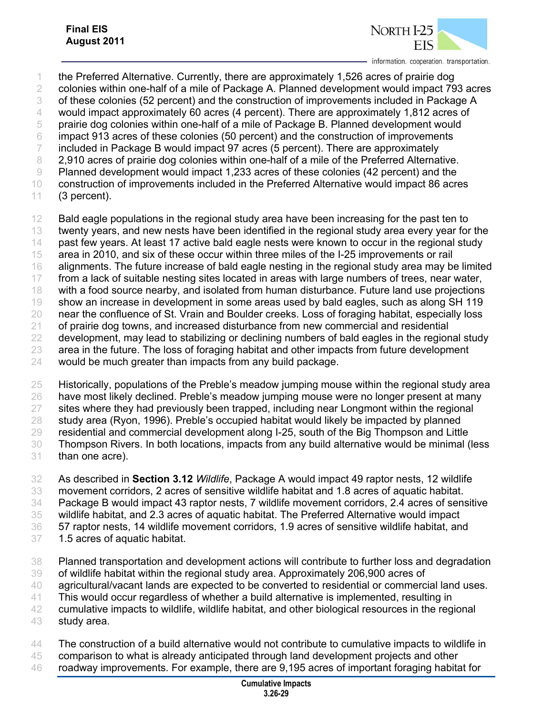

 the Preferred Alternative. Currently, there are approximately 1,526 acres of prairie dog colonies within one-half of a mile of Package A. Planned development would impact 793 acres of these colonies (52 percent) and the construction of improvements included in Package A would impact approximately 60 acres (4 percent). There are approximately 1,812 acres of prairie dog colonies within one-half of a mile of Package B. Planned development would impact 913 acres of these colonies (50 percent) and the construction of improvements included in Package B would impact 97 acres (5 percent). There are approximately 8 2.910 acres of prairie dog colonies within one-half of a mile of the Preferred Alternative. Planned development would impact 1,233 acres of these colonies (42 percent) and the construction of improvements included in the Preferred Alternative would impact 86 acres (3 percent).

12 Bald eagle populations in the regional study area have been increasing for the past ten to twenty years, and new nests have been identified in the regional study area every year for the past few years. At least 17 active bald eagle nests were known to occur in the regional study area in 2010, and six of these occur within three miles of the I-25 improvements or rail alignments. The future increase of bald eagle nesting in the regional study area may be limited 17 from a lack of suitable nesting sites located in areas with large numbers of trees, near water, with a food source nearby, and isolated from human disturbance. Future land use projections show an increase in development in some areas used by bald eagles, such as along SH 119 near the confluence of St. Vrain and Boulder creeks. Loss of foraging habitat, especially loss of prairie dog towns, and increased disturbance from new commercial and residential 22 development, may lead to stabilizing or declining numbers of bald eagles in the regional study area in the future. The loss of foraging habitat and other impacts from future development would be much greater than impacts from any build package.

 Historically, populations of the Preble's meadow jumping mouse within the regional study area have most likely declined. Preble's meadow jumping mouse were no longer present at many 27 sites where they had previously been trapped, including near Longmont within the regional study area (Ryon, 1996). Preble's occupied habitat would likely be impacted by planned residential and commercial development along I-25, south of the Big Thompson and Little Thompson Rivers. In both locations, impacts from any build alternative would be minimal (less than one acre).

 As described in **Section 3.12** *Wildlife*, Package A would impact 49 raptor nests, 12 wildlife movement corridors, 2 acres of sensitive wildlife habitat and 1.8 acres of aquatic habitat. Package B would impact 43 raptor nests, 7 wildlife movement corridors, 2.4 acres of sensitive wildlife habitat, and 2.3 acres of aquatic habitat. The Preferred Alternative would impact 57 raptor nests, 14 wildlife movement corridors, 1.9 acres of sensitive wildlife habitat, and 1.5 acres of aquatic habitat.

- Planned transportation and development actions will contribute to further loss and degradation of wildlife habitat within the regional study area. Approximately 206,900 acres of
- agricultural/vacant lands are expected to be converted to residential or commercial land uses.
- This would occur regardless of whether a build alternative is implemented, resulting in
- cumulative impacts to wildlife, wildlife habitat, and other biological resources in the regional study area.
- The construction of a build alternative would not contribute to cumulative impacts to wildlife in
- comparison to what is already anticipated through land development projects and other
- roadway improvements. For example, there are 9,195 acres of important foraging habitat for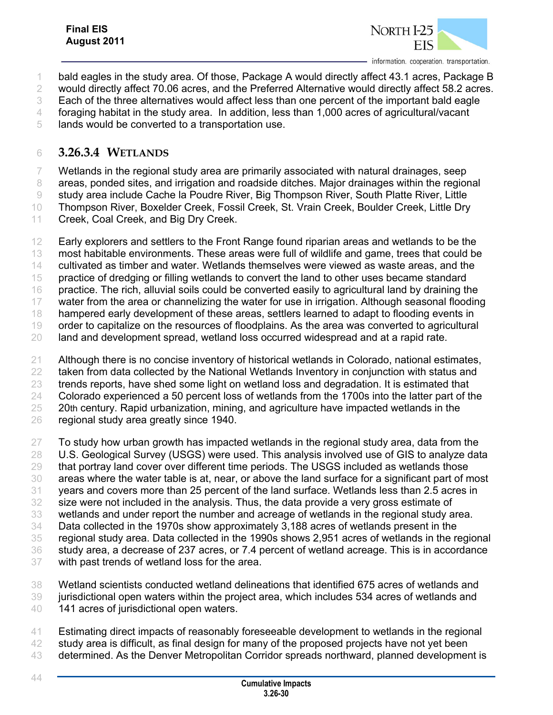

1 bald eagles in the study area. Of those, Package A would directly affect 43.1 acres, Package B

would directly affect 70.06 acres, and the Preferred Alternative would directly affect 58.2 acres.

Each of the three alternatives would affect less than one percent of the important bald eagle

foraging habitat in the study area. In addition, less than 1,000 acres of agricultural/vacant

lands would be converted to a transportation use.

### **3.26.3.4 WETLANDS**

 Wetlands in the regional study area are primarily associated with natural drainages, seep 8 areas, ponded sites, and irrigation and roadside ditches. Major drainages within the regional study area include Cache la Poudre River, Big Thompson River, South Platte River, Little

Thompson River, Boxelder Creek, Fossil Creek, St. Vrain Creek, Boulder Creek, Little Dry

Creek, Coal Creek, and Big Dry Creek.

12 Early explorers and settlers to the Front Range found riparian areas and wetlands to be the most habitable environments. These areas were full of wildlife and game, trees that could be cultivated as timber and water. Wetlands themselves were viewed as waste areas, and the practice of dredging or filling wetlands to convert the land to other uses became standard practice. The rich, alluvial soils could be converted easily to agricultural land by draining the water from the area or channelizing the water for use in irrigation. Although seasonal flooding 18 hampered early development of these areas, settlers learned to adapt to flooding events in order to capitalize on the resources of floodplains. As the area was converted to agricultural land and development spread, wetland loss occurred widespread and at a rapid rate.

 Although there is no concise inventory of historical wetlands in Colorado, national estimates, 22 taken from data collected by the National Wetlands Inventory in conjunction with status and trends reports, have shed some light on wetland loss and degradation. It is estimated that Colorado experienced a 50 percent loss of wetlands from the 1700s into the latter part of the 25 20th century. Rapid urbanization, mining, and agriculture have impacted wetlands in the regional study area greatly since 1940.

 To study how urban growth has impacted wetlands in the regional study area, data from the U.S. Geological Survey (USGS) were used. This analysis involved use of GIS to analyze data that portray land cover over different time periods. The USGS included as wetlands those areas where the water table is at, near, or above the land surface for a significant part of most years and covers more than 25 percent of the land surface. Wetlands less than 2.5 acres in size were not included in the analysis. Thus, the data provide a very gross estimate of wetlands and under report the number and acreage of wetlands in the regional study area. Data collected in the 1970s show approximately 3,188 acres of wetlands present in the regional study area. Data collected in the 1990s shows 2,951 acres of wetlands in the regional study area, a decrease of 237 acres, or 7.4 percent of wetland acreage. This is in accordance with past trends of wetland loss for the area.

 Wetland scientists conducted wetland delineations that identified 675 acres of wetlands and jurisdictional open waters within the project area, which includes 534 acres of wetlands and 40 141 acres of jurisdictional open waters.

- Estimating direct impacts of reasonably foreseeable development to wetlands in the regional
- study area is difficult, as final design for many of the proposed projects have not yet been
- 43 determined. As the Denver Metropolitan Corridor spreads northward, planned development is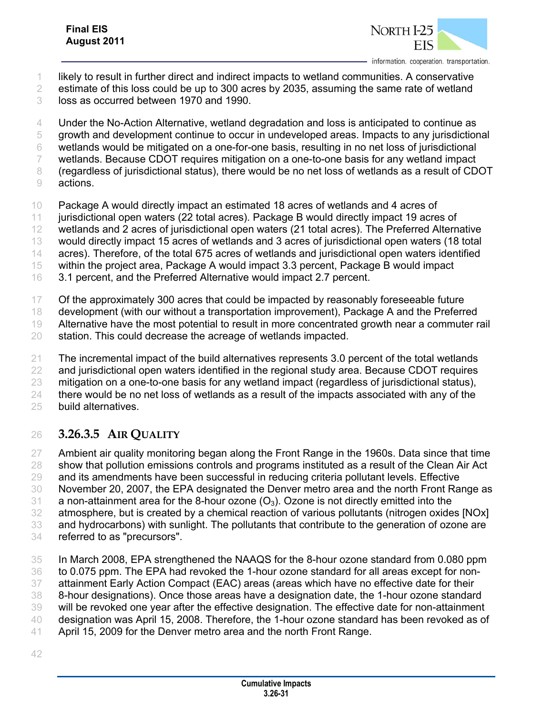

- likely to result in further direct and indirect impacts to wetland communities. A conservative
- estimate of this loss could be up to 300 acres by 2035, assuming the same rate of wetland
- loss as occurred between 1970 and 1990.
- Under the No-Action Alternative, wetland degradation and loss is anticipated to continue as
- growth and development continue to occur in undeveloped areas. Impacts to any jurisdictional
- wetlands would be mitigated on a one-for-one basis, resulting in no net loss of jurisdictional
- wetlands. Because CDOT requires mitigation on a one-to-one basis for any wetland impact
- (regardless of jurisdictional status), there would be no net loss of wetlands as a result of CDOT
- actions.
- Package A would directly impact an estimated 18 acres of wetlands and 4 acres of
- jurisdictional open waters (22 total acres). Package B would directly impact 19 acres of
- wetlands and 2 acres of jurisdictional open waters (21 total acres). The Preferred Alternative
- would directly impact 15 acres of wetlands and 3 acres of jurisdictional open waters (18 total
- acres). Therefore, of the total 675 acres of wetlands and jurisdictional open waters identified
- within the project area, Package A would impact 3.3 percent, Package B would impact
- 3.1 percent, and the Preferred Alternative would impact 2.7 percent.
- Of the approximately 300 acres that could be impacted by reasonably foreseeable future
- development (with our without a transportation improvement), Package A and the Preferred
- Alternative have the most potential to result in more concentrated growth near a commuter rail
- station. This could decrease the acreage of wetlands impacted.
- The incremental impact of the build alternatives represents 3.0 percent of the total wetlands
- 22 and jurisdictional open waters identified in the regional study area. Because CDOT requires
- mitigation on a one-to-one basis for any wetland impact (regardless of jurisdictional status),
- 24 there would be no net loss of wetlands as a result of the impacts associated with any of the
- build alternatives.

## **3.26.3.5 AIR QUALITY**

- Ambient air quality monitoring began along the Front Range in the 1960s. Data since that time show that pollution emissions controls and programs instituted as a result of the Clean Air Act and its amendments have been successful in reducing criteria pollutant levels. Effective November 20, 2007, the EPA designated the Denver metro area and the north Front Range as 31 a non-attainment area for the 8-hour ozone  $(O_3)$ . Ozone is not directly emitted into the atmosphere, but is created by a chemical reaction of various pollutants (nitrogen oxides [NOx] and hydrocarbons) with sunlight. The pollutants that contribute to the generation of ozone are
- referred to as "precursors".
- In March 2008, EPA strengthened the NAAQS for the 8-hour ozone standard from 0.080 ppm to 0.075 ppm. The EPA had revoked the 1-hour ozone standard for all areas except for non- attainment Early Action Compact (EAC) areas (areas which have no effective date for their 8-hour designations). Once those areas have a designation date, the 1-hour ozone standard
- will be revoked one year after the effective designation. The effective date for non-attainment
- designation was April 15, 2008. Therefore, the 1-hour ozone standard has been revoked as of
- April 15, 2009 for the Denver metro area and the north Front Range.
-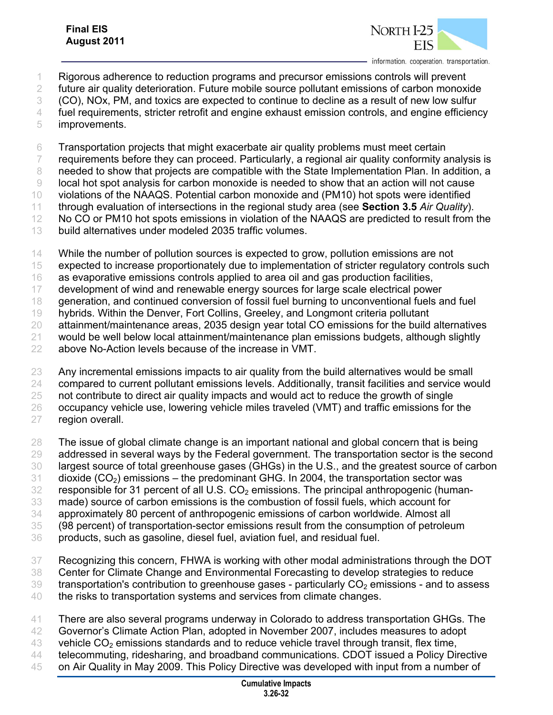

- Rigorous adherence to reduction programs and precursor emissions controls will prevent
- future air quality deterioration. Future mobile source pollutant emissions of carbon monoxide
- (CO), NOx, PM, and toxics are expected to continue to decline as a result of new low sulfur
- 4 fuel requirements, stricter retrofit and engine exhaust emission controls, and engine efficiency improvements.
- Transportation projects that might exacerbate air quality problems must meet certain 7 requirements before they can proceed. Particularly, a regional air quality conformity analysis is
- 
- needed to show that projects are compatible with the State Implementation Plan. In addition, a local hot spot analysis for carbon monoxide is needed to show that an action will not cause
- violations of the NAAQS. Potential carbon monoxide and (PM10) hot spots were identified
- through evaluation of intersections in the regional study area (see **Section 3.5** *Air Quality*).
- 12 No CO or PM10 hot spots emissions in violation of the NAAQS are predicted to result from the
- build alternatives under modeled 2035 traffic volumes.
- While the number of pollution sources is expected to grow, pollution emissions are not
- expected to increase proportionately due to implementation of stricter regulatory controls such
- as evaporative emissions controls applied to area oil and gas production facilities,
- development of wind and renewable energy sources for large scale electrical power
- generation, and continued conversion of fossil fuel burning to unconventional fuels and fuel
- hybrids. Within the Denver, Fort Collins, Greeley, and Longmont criteria pollutant
- attainment/maintenance areas, 2035 design year total CO emissions for the build alternatives
- would be well below local attainment/maintenance plan emissions budgets, although slightly
- above No-Action levels because of the increase in VMT.
- Any incremental emissions impacts to air quality from the build alternatives would be small
- compared to current pollutant emissions levels. Additionally, transit facilities and service would
- not contribute to direct air quality impacts and would act to reduce the growth of single
- 26 occupancy vehicle use, lowering vehicle miles traveled (VMT) and traffic emissions for the
- region overall.
- The issue of global climate change is an important national and global concern that is being 29 addressed in several ways by the Federal government. The transportation sector is the second largest source of total greenhouse gases (GHGs) in the U.S., and the greatest source of carbon
- dioxide (CO<sub>2</sub>) emissions the predominant GHG. In 2004, the transportation sector was
- responsible for 31 percent of all U.S.  $CO<sub>2</sub>$  emissions. The principal anthropogenic (human-
- made) source of carbon emissions is the combustion of fossil fuels, which account for
- approximately 80 percent of anthropogenic emissions of carbon worldwide. Almost all
- (98 percent) of transportation-sector emissions result from the consumption of petroleum
- products, such as gasoline, diesel fuel, aviation fuel, and residual fuel.
- Recognizing this concern, FHWA is working with other modal administrations through the DOT Center for Climate Change and Environmental Forecasting to develop strategies to reduce transportation's contribution to greenhouse gases - particularly  $CO<sub>2</sub>$  emissions - and to assess
- the risks to transportation systems and services from climate changes.
- There are also several programs underway in Colorado to address transportation GHGs. The
- Governor's Climate Action Plan, adopted in November 2007, includes measures to adopt
- 43 vehicle  $CO<sub>2</sub>$  emissions standards and to reduce vehicle travel through transit, flex time,
- telecommuting, ridesharing, and broadband communications. CDOT issued a Policy Directive
- on Air Quality in May 2009. This Policy Directive was developed with input from a number of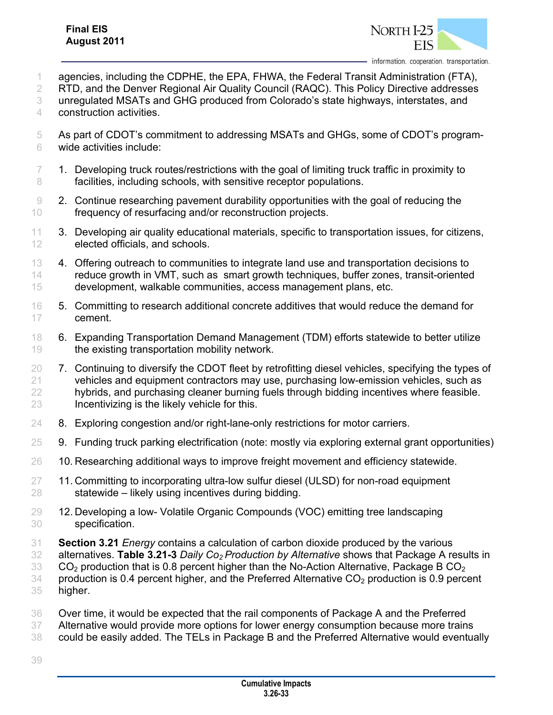

agencies, including the CDPHE, the EPA, FHWA, the Federal Transit Administration (FTA),

RTD, and the Denver Regional Air Quality Council (RAQC). This Policy Directive addresses

unregulated MSATs and GHG produced from Colorado's state highways, interstates, and

construction activities.

- As part of CDOT's commitment to addressing MSATs and GHGs, some of CDOT's program-wide activities include:
- 1. Developing truck routes/restrictions with the goal of limiting truck traffic in proximity to 8 facilities, including schools, with sensitive receptor populations.
- 2. Continue researching pavement durability opportunities with the goal of reducing the frequency of resurfacing and/or reconstruction projects.
- 3. Developing air quality educational materials, specific to transportation issues, for citizens, elected officials, and schools.
- 13 4. Offering outreach to communities to integrate land use and transportation decisions to reduce growth in VMT, such as smart growth techniques, buffer zones, transit-oriented development, walkable communities, access management plans, etc.
- 5. Committing to research additional concrete additives that would reduce the demand for cement.
- 6. Expanding Transportation Demand Management (TDM) efforts statewide to better utilize 19 the existing transportation mobility network.
- 20 7. Continuing to diversify the CDOT fleet by retrofitting diesel vehicles, specifying the types of vehicles and equipment contractors may use, purchasing low-emission vehicles, such as hybrids, and purchasing cleaner burning fuels through bidding incentives where feasible. Incentivizing is the likely vehicle for this.
- 8. Exploring congestion and/or right-lane-only restrictions for motor carriers.
- 9. Funding truck parking electrification (note: mostly via exploring external grant opportunities)
- 26 10. Researching additional ways to improve freight movement and efficiency statewide.
- 11. Committing to incorporating ultra-low sulfur diesel (ULSD) for non-road equipment statewide – likely using incentives during bidding.
- 12. Developing a low- Volatile Organic Compounds (VOC) emitting tree landscaping specification.
- **Section 3.21** *Energy* contains a calculation of carbon dioxide produced by the various
- alternatives. **Table 3.21-3** *Daily Co2 Production by Alternative* shows that Package A results in

CO<sub>2</sub> production that is 0.8 percent higher than the No-Action Alternative, Package B CO<sub>2</sub>

- production is 0.4 percent higher, and the Preferred Alternative CO<sub>2</sub> production is 0.9 percent higher.
- Over time, it would be expected that the rail components of Package A and the Preferred 37 Alternative would provide more options for lower energy consumption because more trains could be easily added. The TELs in Package B and the Preferred Alternative would eventually
-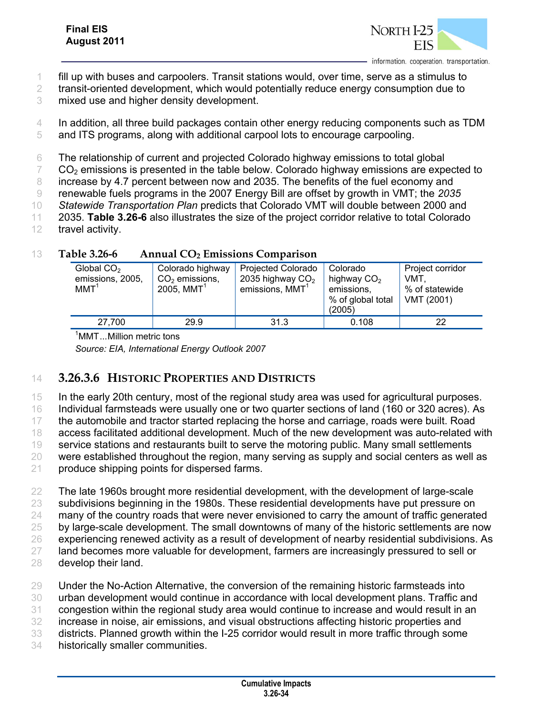

1 fill up with buses and carpoolers. Transit stations would, over time, serve as a stimulus to

2 transit-oriented development, which would potentially reduce energy consumption due to

3 mixed use and higher density development.

4 In addition, all three build packages contain other energy reducing components such as TDM 5 and ITS programs, along with additional carpool lots to encourage carpooling.

6 The relationship of current and projected Colorado highway emissions to total global

 $7 \, \text{CO}_2$  emissions is presented in the table below. Colorado highway emissions are expected to

8 increase by 4.7 percent between now and 2035. The benefits of the fuel economy and

9 renewable fuels programs in the 2007 Energy Bill are offset by growth in VMT; the *2035* 

10 *Statewide Transportation Plan* predicts that Colorado VMT will double between 2000 and

11 2035. **Table 3.26-6** also illustrates the size of the project corridor relative to total Colorado

12 travel activity.

| $\blacksquare$<br>$1$ minum $20/$ minosiono computibon |                                                                  |                                                                     |                                                                                |                                                              |                                                                |  |  |  |  |
|--------------------------------------------------------|------------------------------------------------------------------|---------------------------------------------------------------------|--------------------------------------------------------------------------------|--------------------------------------------------------------|----------------------------------------------------------------|--|--|--|--|
|                                                        | Global CO <sub>2</sub><br>emissions, 2005,<br>$MMT$ <sup>1</sup> | Colorado highway<br>$CO2$ emissions,<br>$2005$ , $MMT$ <sup>1</sup> | <b>Projected Colorado</b><br>2035 highway $CO2$<br>emissions, MMT <sup>1</sup> | Colorado<br>highway $CO2$<br>emissions.<br>% of global total | Project corridor<br><b>VMT</b><br>% of statewide<br>VMT (2001) |  |  |  |  |
|                                                        |                                                                  |                                                                     |                                                                                | (2005)                                                       |                                                                |  |  |  |  |
|                                                        | 27.700                                                           | 29.9                                                                | 31.3                                                                           | 0.108                                                        | 22                                                             |  |  |  |  |

#### 13 **Table 3.26-6 Annual CO2 Emissions Comparison**

<sup>1</sup>MMT...Million metric tons

*Source: EIA, International Energy Outlook 2007* 

### 14 **3.26.3.6 HISTORIC PROPERTIES AND DISTRICTS**

15 In the early 20th century, most of the regional study area was used for agricultural purposes.

16 Individual farmsteads were usually one or two quarter sections of land (160 or 320 acres). As

17 the automobile and tractor started replacing the horse and carriage, roads were built. Road

18 access facilitated additional development. Much of the new development was auto-related with

19 service stations and restaurants built to serve the motoring public. Many small settlements

20 were established throughout the region, many serving as supply and social centers as well as

21 produce shipping points for dispersed farms.

 The late 1960s brought more residential development, with the development of large-scale subdivisions beginning in the 1980s. These residential developments have put pressure on 24 many of the country roads that were never envisioned to carry the amount of traffic generated by large-scale development. The small downtowns of many of the historic settlements are now experiencing renewed activity as a result of development of nearby residential subdivisions. As 27 land becomes more valuable for development, farmers are increasingly pressured to sell or develop their land.

 Under the No-Action Alternative, the conversion of the remaining historic farmsteads into urban development would continue in accordance with local development plans. Traffic and congestion within the regional study area would continue to increase and would result in an increase in noise, air emissions, and visual obstructions affecting historic properties and districts. Planned growth within the I-25 corridor would result in more traffic through some

34 historically smaller communities.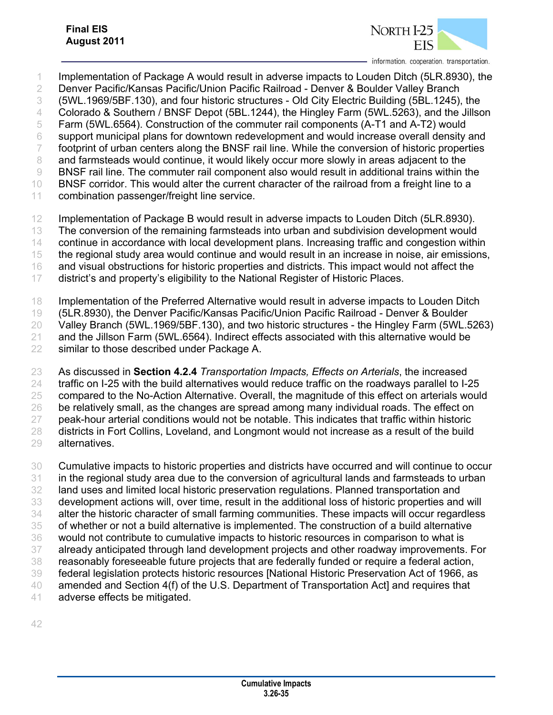

 Implementation of Package A would result in adverse impacts to Louden Ditch (5LR.8930), the Denver Pacific/Kansas Pacific/Union Pacific Railroad - Denver & Boulder Valley Branch (5WL.1969/5BF.130), and four historic structures - Old City Electric Building (5BL.1245), the Colorado & Southern / BNSF Depot (5BL.1244), the Hingley Farm (5WL.5263), and the Jillson Farm (5WL.6564). Construction of the commuter rail components (A-T1 and A-T2) would support municipal plans for downtown redevelopment and would increase overall density and 7 footprint of urban centers along the BNSF rail line. While the conversion of historic properties 8 and farmsteads would continue, it would likely occur more slowly in areas adjacent to the BNSF rail line. The commuter rail component also would result in additional trains within the 10 BNSF corridor. This would alter the current character of the railroad from a freight line to a combination passenger/freight line service. Implementation of Package B would result in adverse impacts to Louden Ditch (5LR.8930).

The conversion of the remaining farmsteads into urban and subdivision development would

continue in accordance with local development plans. Increasing traffic and congestion within

the regional study area would continue and would result in an increase in noise, air emissions,

and visual obstructions for historic properties and districts. This impact would not affect the

district's and property's eligibility to the National Register of Historic Places.

 Implementation of the Preferred Alternative would result in adverse impacts to Louden Ditch (5LR.8930), the Denver Pacific/Kansas Pacific/Union Pacific Railroad - Denver & Boulder Valley Branch (5WL.1969/5BF.130), and two historic structures - the Hingley Farm (5WL.5263) and the Jillson Farm (5WL.6564). Indirect effects associated with this alternative would be similar to those described under Package A.

 As discussed in **Section 4.2.4** *Transportation Impacts, Effects on Arterials*, the increased traffic on I-25 with the build alternatives would reduce traffic on the roadways parallel to I-25 compared to the No-Action Alternative. Overall, the magnitude of this effect on arterials would 26 be relatively small, as the changes are spread among many individual roads. The effect on peak-hour arterial conditions would not be notable. This indicates that traffic within historic districts in Fort Collins, Loveland, and Longmont would not increase as a result of the build alternatives.

 Cumulative impacts to historic properties and districts have occurred and will continue to occur in the regional study area due to the conversion of agricultural lands and farmsteads to urban land uses and limited local historic preservation regulations. Planned transportation and development actions will, over time, result in the additional loss of historic properties and will alter the historic character of small farming communities. These impacts will occur regardless of whether or not a build alternative is implemented. The construction of a build alternative would not contribute to cumulative impacts to historic resources in comparison to what is already anticipated through land development projects and other roadway improvements. For reasonably foreseeable future projects that are federally funded or require a federal action, federal legislation protects historic resources [National Historic Preservation Act of 1966, as amended and Section 4(f) of the U.S. Department of Transportation Act] and requires that adverse effects be mitigated.